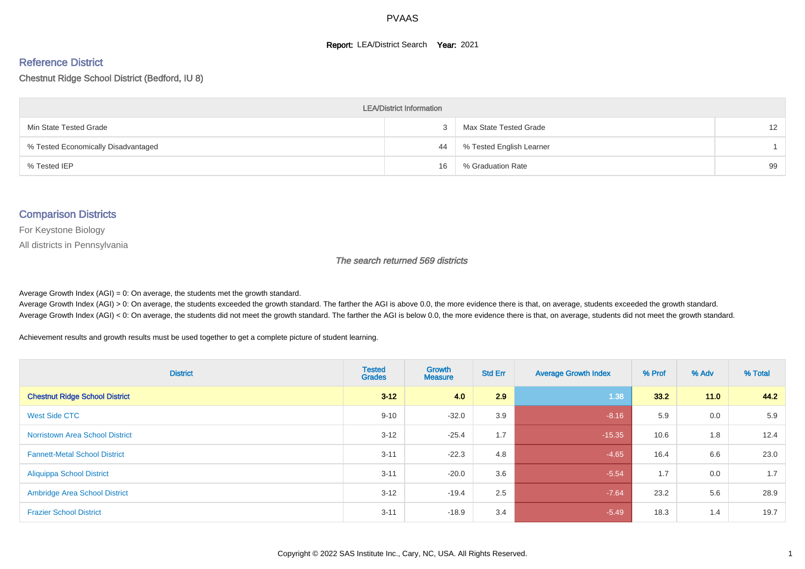#### **Report: LEA/District Search Year: 2021**

#### Reference District

#### Chestnut Ridge School District (Bedford, IU 8)

| <b>LEA/District Information</b>     |    |                          |    |  |  |  |  |  |  |  |
|-------------------------------------|----|--------------------------|----|--|--|--|--|--|--|--|
| Min State Tested Grade              | 3  | Max State Tested Grade   | 12 |  |  |  |  |  |  |  |
| % Tested Economically Disadvantaged | 44 | % Tested English Learner |    |  |  |  |  |  |  |  |
| % Tested IEP                        | 16 | % Graduation Rate        | 99 |  |  |  |  |  |  |  |

#### Comparison Districts

For Keystone Biology

All districts in Pennsylvania

The search returned 569 districts

Average Growth Index  $(AGI) = 0$ : On average, the students met the growth standard.

Average Growth Index (AGI) > 0: On average, the students exceeded the growth standard. The farther the AGI is above 0.0, the more evidence there is that, on average, students exceeded the growth standard. Average Growth Index (AGI) < 0: On average, the students did not meet the growth standard. The farther the AGI is below 0.0, the more evidence there is that, on average, students did not meet the growth standard.

Achievement results and growth results must be used together to get a complete picture of student learning.

| <b>District</b>                        | <b>Tested</b><br><b>Grades</b> | <b>Growth</b><br><b>Measure</b> | <b>Std Err</b> | <b>Average Growth Index</b> | % Prof | % Adv | % Total |
|----------------------------------------|--------------------------------|---------------------------------|----------------|-----------------------------|--------|-------|---------|
| <b>Chestnut Ridge School District</b>  | $3 - 12$                       | 4.0                             | 2.9            | 1.38                        | 33.2   | 11.0  | 44.2    |
| <b>West Side CTC</b>                   | $9 - 10$                       | $-32.0$                         | 3.9            | $-8.16$                     | 5.9    | 0.0   | 5.9     |
| <b>Norristown Area School District</b> | $3 - 12$                       | $-25.4$                         | 1.7            | $-15.35$                    | 10.6   | 1.8   | 12.4    |
| <b>Fannett-Metal School District</b>   | $3 - 11$                       | $-22.3$                         | 4.8            | $-4.65$                     | 16.4   | 6.6   | 23.0    |
| <b>Aliquippa School District</b>       | $3 - 11$                       | $-20.0$                         | 3.6            | $-5.54$                     | 1.7    | 0.0   | 1.7     |
| <b>Ambridge Area School District</b>   | $3 - 12$                       | $-19.4$                         | 2.5            | $-7.64$                     | 23.2   | 5.6   | 28.9    |
| <b>Frazier School District</b>         | $3 - 11$                       | $-18.9$                         | 3.4            | $-5.49$                     | 18.3   | 1.4   | 19.7    |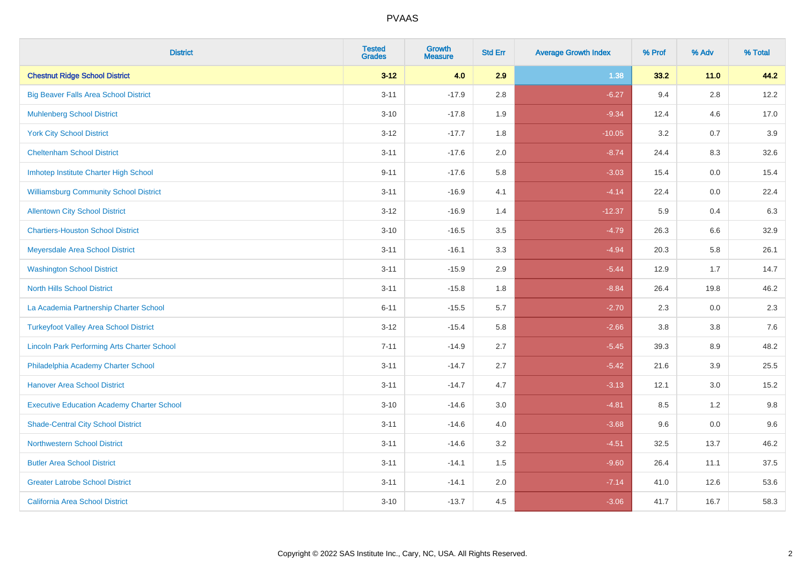| <b>District</b>                                    | <b>Tested</b><br><b>Grades</b> | <b>Growth</b><br><b>Measure</b> | <b>Std Err</b> | <b>Average Growth Index</b> | % Prof | % Adv   | % Total |
|----------------------------------------------------|--------------------------------|---------------------------------|----------------|-----------------------------|--------|---------|---------|
| <b>Chestnut Ridge School District</b>              | $3 - 12$                       | 4.0                             | 2.9            | 1.38                        | 33.2   | $11.0$  | 44.2    |
| <b>Big Beaver Falls Area School District</b>       | $3 - 11$                       | $-17.9$                         | 2.8            | $-6.27$                     | 9.4    | $2.8\,$ | 12.2    |
| <b>Muhlenberg School District</b>                  | $3 - 10$                       | $-17.8$                         | 1.9            | $-9.34$                     | 12.4   | 4.6     | 17.0    |
| <b>York City School District</b>                   | $3-12$                         | $-17.7$                         | 1.8            | $-10.05$                    | 3.2    | 0.7     | 3.9     |
| <b>Cheltenham School District</b>                  | $3 - 11$                       | $-17.6$                         | 2.0            | $-8.74$                     | 24.4   | 8.3     | 32.6    |
| Imhotep Institute Charter High School              | $9 - 11$                       | $-17.6$                         | 5.8            | $-3.03$                     | 15.4   | 0.0     | 15.4    |
| <b>Williamsburg Community School District</b>      | $3 - 11$                       | $-16.9$                         | 4.1            | $-4.14$                     | 22.4   | 0.0     | 22.4    |
| <b>Allentown City School District</b>              | $3 - 12$                       | $-16.9$                         | 1.4            | $-12.37$                    | 5.9    | 0.4     | 6.3     |
| <b>Chartiers-Houston School District</b>           | $3 - 10$                       | $-16.5$                         | 3.5            | $-4.79$                     | 26.3   | 6.6     | 32.9    |
| Meyersdale Area School District                    | $3 - 11$                       | $-16.1$                         | 3.3            | $-4.94$                     | 20.3   | 5.8     | 26.1    |
| <b>Washington School District</b>                  | $3 - 11$                       | $-15.9$                         | 2.9            | $-5.44$                     | 12.9   | 1.7     | 14.7    |
| <b>North Hills School District</b>                 | $3 - 11$                       | $-15.8$                         | 1.8            | $-8.84$                     | 26.4   | 19.8    | 46.2    |
| La Academia Partnership Charter School             | $6 - 11$                       | $-15.5$                         | 5.7            | $-2.70$                     | 2.3    | $0.0\,$ | 2.3     |
| <b>Turkeyfoot Valley Area School District</b>      | $3 - 12$                       | $-15.4$                         | 5.8            | $-2.66$                     | 3.8    | 3.8     | 7.6     |
| <b>Lincoln Park Performing Arts Charter School</b> | $7 - 11$                       | $-14.9$                         | 2.7            | $-5.45$                     | 39.3   | 8.9     | 48.2    |
| Philadelphia Academy Charter School                | $3 - 11$                       | $-14.7$                         | 2.7            | $-5.42$                     | 21.6   | 3.9     | 25.5    |
| <b>Hanover Area School District</b>                | $3 - 11$                       | $-14.7$                         | 4.7            | $-3.13$                     | 12.1   | 3.0     | 15.2    |
| <b>Executive Education Academy Charter School</b>  | $3 - 10$                       | $-14.6$                         | 3.0            | $-4.81$                     | 8.5    | 1.2     | 9.8     |
| <b>Shade-Central City School District</b>          | $3 - 11$                       | $-14.6$                         | 4.0            | $-3.68$                     | 9.6    | 0.0     | 9.6     |
| <b>Northwestern School District</b>                | $3 - 11$                       | $-14.6$                         | 3.2            | $-4.51$                     | 32.5   | 13.7    | 46.2    |
| <b>Butler Area School District</b>                 | $3 - 11$                       | $-14.1$                         | 1.5            | $-9.60$                     | 26.4   | 11.1    | 37.5    |
| <b>Greater Latrobe School District</b>             | $3 - 11$                       | $-14.1$                         | 2.0            | $-7.14$                     | 41.0   | 12.6    | 53.6    |
| <b>California Area School District</b>             | $3 - 10$                       | $-13.7$                         | 4.5            | $-3.06$                     | 41.7   | 16.7    | 58.3    |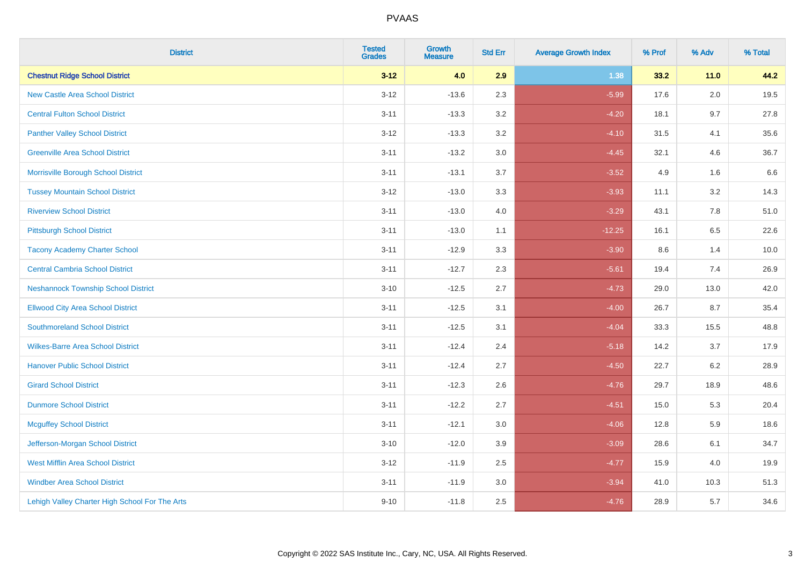| <b>District</b>                                | <b>Tested</b><br><b>Grades</b> | <b>Growth</b><br><b>Measure</b> | <b>Std Err</b> | <b>Average Growth Index</b> | % Prof | % Adv   | % Total |
|------------------------------------------------|--------------------------------|---------------------------------|----------------|-----------------------------|--------|---------|---------|
| <b>Chestnut Ridge School District</b>          | $3 - 12$                       | 4.0                             | 2.9            | 1.38                        | 33.2   | 11.0    | 44.2    |
| <b>New Castle Area School District</b>         | $3 - 12$                       | $-13.6$                         | 2.3            | $-5.99$                     | 17.6   | $2.0\,$ | 19.5    |
| <b>Central Fulton School District</b>          | $3 - 11$                       | $-13.3$                         | 3.2            | $-4.20$                     | 18.1   | 9.7     | 27.8    |
| <b>Panther Valley School District</b>          | $3-12$                         | $-13.3$                         | 3.2            | $-4.10$                     | 31.5   | 4.1     | 35.6    |
| <b>Greenville Area School District</b>         | $3 - 11$                       | $-13.2$                         | 3.0            | $-4.45$                     | 32.1   | 4.6     | 36.7    |
| Morrisville Borough School District            | $3 - 11$                       | $-13.1$                         | 3.7            | $-3.52$                     | 4.9    | 1.6     | 6.6     |
| <b>Tussey Mountain School District</b>         | $3 - 12$                       | $-13.0$                         | 3.3            | $-3.93$                     | 11.1   | 3.2     | 14.3    |
| <b>Riverview School District</b>               | $3 - 11$                       | $-13.0$                         | 4.0            | $-3.29$                     | 43.1   | 7.8     | 51.0    |
| <b>Pittsburgh School District</b>              | $3 - 11$                       | $-13.0$                         | 1.1            | $-12.25$                    | 16.1   | 6.5     | 22.6    |
| <b>Tacony Academy Charter School</b>           | $3 - 11$                       | $-12.9$                         | 3.3            | $-3.90$                     | 8.6    | 1.4     | 10.0    |
| <b>Central Cambria School District</b>         | $3 - 11$                       | $-12.7$                         | 2.3            | $-5.61$                     | 19.4   | 7.4     | 26.9    |
| <b>Neshannock Township School District</b>     | $3 - 10$                       | $-12.5$                         | 2.7            | $-4.73$                     | 29.0   | 13.0    | 42.0    |
| <b>Ellwood City Area School District</b>       | $3 - 11$                       | $-12.5$                         | 3.1            | $-4.00$                     | 26.7   | 8.7     | 35.4    |
| <b>Southmoreland School District</b>           | $3 - 11$                       | $-12.5$                         | 3.1            | $-4.04$                     | 33.3   | 15.5    | 48.8    |
| <b>Wilkes-Barre Area School District</b>       | $3 - 11$                       | $-12.4$                         | 2.4            | $-5.18$                     | 14.2   | 3.7     | 17.9    |
| <b>Hanover Public School District</b>          | $3 - 11$                       | $-12.4$                         | 2.7            | $-4.50$                     | 22.7   | $6.2\,$ | 28.9    |
| <b>Girard School District</b>                  | $3 - 11$                       | $-12.3$                         | 2.6            | $-4.76$                     | 29.7   | 18.9    | 48.6    |
| <b>Dunmore School District</b>                 | $3 - 11$                       | $-12.2$                         | 2.7            | $-4.51$                     | 15.0   | 5.3     | 20.4    |
| <b>Mcguffey School District</b>                | $3 - 11$                       | $-12.1$                         | 3.0            | $-4.06$                     | 12.8   | 5.9     | 18.6    |
| Jefferson-Morgan School District               | $3 - 10$                       | $-12.0$                         | 3.9            | $-3.09$                     | 28.6   | 6.1     | 34.7    |
| <b>West Mifflin Area School District</b>       | $3-12$                         | $-11.9$                         | 2.5            | $-4.77$                     | 15.9   | 4.0     | 19.9    |
| <b>Windber Area School District</b>            | $3 - 11$                       | $-11.9$                         | 3.0            | $-3.94$                     | 41.0   | 10.3    | 51.3    |
| Lehigh Valley Charter High School For The Arts | $9 - 10$                       | $-11.8$                         | 2.5            | $-4.76$                     | 28.9   | 5.7     | 34.6    |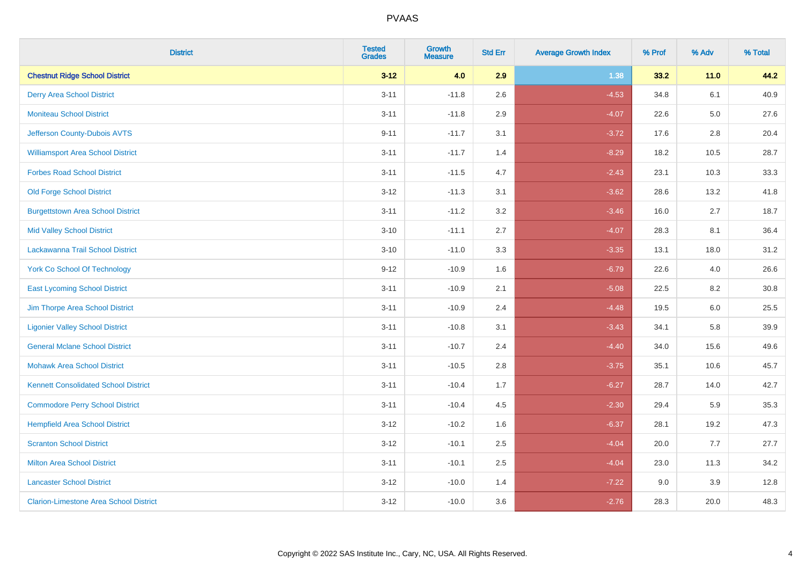| <b>District</b>                               | <b>Tested</b><br><b>Grades</b> | <b>Growth</b><br><b>Measure</b> | <b>Std Err</b> | <b>Average Growth Index</b> | % Prof | % Adv  | % Total |
|-----------------------------------------------|--------------------------------|---------------------------------|----------------|-----------------------------|--------|--------|---------|
| <b>Chestnut Ridge School District</b>         | $3 - 12$                       | 4.0                             | 2.9            | 1.38                        | 33.2   | $11.0$ | 44.2    |
| <b>Derry Area School District</b>             | $3 - 11$                       | $-11.8$                         | 2.6            | $-4.53$                     | 34.8   | 6.1    | 40.9    |
| <b>Moniteau School District</b>               | $3 - 11$                       | $-11.8$                         | 2.9            | $-4.07$                     | 22.6   | 5.0    | 27.6    |
| Jefferson County-Dubois AVTS                  | $9 - 11$                       | $-11.7$                         | 3.1            | $-3.72$                     | 17.6   | 2.8    | 20.4    |
| <b>Williamsport Area School District</b>      | $3 - 11$                       | $-11.7$                         | 1.4            | $-8.29$                     | 18.2   | 10.5   | 28.7    |
| <b>Forbes Road School District</b>            | $3 - 11$                       | $-11.5$                         | 4.7            | $-2.43$                     | 23.1   | 10.3   | 33.3    |
| <b>Old Forge School District</b>              | $3 - 12$                       | $-11.3$                         | 3.1            | $-3.62$                     | 28.6   | 13.2   | 41.8    |
| <b>Burgettstown Area School District</b>      | $3 - 11$                       | $-11.2$                         | 3.2            | $-3.46$                     | 16.0   | 2.7    | 18.7    |
| <b>Mid Valley School District</b>             | $3 - 10$                       | $-11.1$                         | 2.7            | $-4.07$                     | 28.3   | 8.1    | 36.4    |
| Lackawanna Trail School District              | $3 - 10$                       | $-11.0$                         | 3.3            | $-3.35$                     | 13.1   | 18.0   | 31.2    |
| <b>York Co School Of Technology</b>           | $9 - 12$                       | $-10.9$                         | 1.6            | $-6.79$                     | 22.6   | 4.0    | 26.6    |
| <b>East Lycoming School District</b>          | $3 - 11$                       | $-10.9$                         | 2.1            | $-5.08$                     | 22.5   | 8.2    | 30.8    |
| Jim Thorpe Area School District               | $3 - 11$                       | $-10.9$                         | 2.4            | $-4.48$                     | 19.5   | 6.0    | 25.5    |
| <b>Ligonier Valley School District</b>        | $3 - 11$                       | $-10.8$                         | 3.1            | $-3.43$                     | 34.1   | 5.8    | 39.9    |
| <b>General Mclane School District</b>         | $3 - 11$                       | $-10.7$                         | 2.4            | $-4.40$                     | 34.0   | 15.6   | 49.6    |
| <b>Mohawk Area School District</b>            | $3 - 11$                       | $-10.5$                         | $2.8\,$        | $-3.75$                     | 35.1   | 10.6   | 45.7    |
| <b>Kennett Consolidated School District</b>   | $3 - 11$                       | $-10.4$                         | 1.7            | $-6.27$                     | 28.7   | 14.0   | 42.7    |
| <b>Commodore Perry School District</b>        | $3 - 11$                       | $-10.4$                         | 4.5            | $-2.30$                     | 29.4   | 5.9    | 35.3    |
| <b>Hempfield Area School District</b>         | $3 - 12$                       | $-10.2$                         | 1.6            | $-6.37$                     | 28.1   | 19.2   | 47.3    |
| <b>Scranton School District</b>               | $3 - 12$                       | $-10.1$                         | 2.5            | $-4.04$                     | 20.0   | 7.7    | 27.7    |
| <b>Milton Area School District</b>            | $3 - 11$                       | $-10.1$                         | 2.5            | $-4.04$                     | 23.0   | 11.3   | 34.2    |
| <b>Lancaster School District</b>              | $3 - 12$                       | $-10.0$                         | 1.4            | $-7.22$                     | 9.0    | 3.9    | 12.8    |
| <b>Clarion-Limestone Area School District</b> | $3 - 12$                       | $-10.0$                         | 3.6            | $-2.76$                     | 28.3   | 20.0   | 48.3    |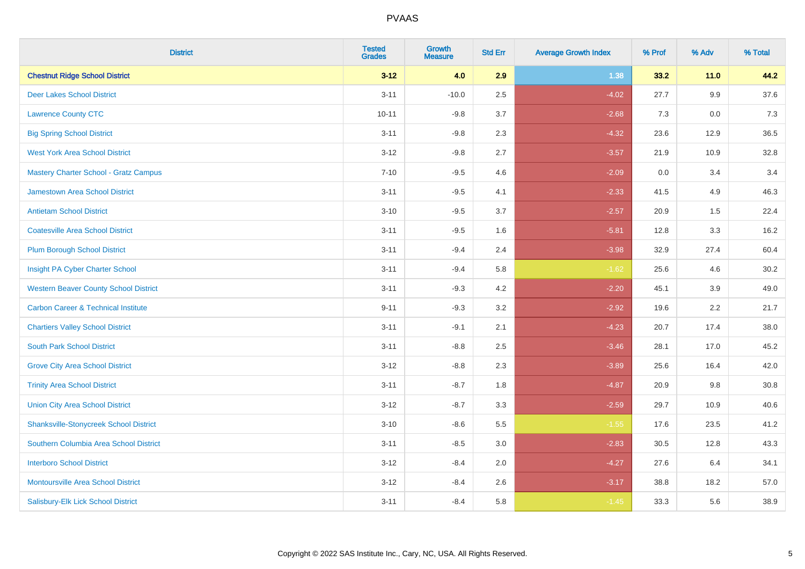| <b>District</b>                                | <b>Tested</b><br><b>Grades</b> | <b>Growth</b><br><b>Measure</b> | <b>Std Err</b> | <b>Average Growth Index</b> | % Prof | % Adv   | % Total |
|------------------------------------------------|--------------------------------|---------------------------------|----------------|-----------------------------|--------|---------|---------|
| <b>Chestnut Ridge School District</b>          | $3 - 12$                       | 4.0                             | 2.9            | 1.38                        | 33.2   | $11.0$  | 44.2    |
| <b>Deer Lakes School District</b>              | $3 - 11$                       | $-10.0$                         | 2.5            | $-4.02$                     | 27.7   | $9.9\,$ | 37.6    |
| <b>Lawrence County CTC</b>                     | $10 - 11$                      | $-9.8$                          | 3.7            | $-2.68$                     | 7.3    | 0.0     | 7.3     |
| <b>Big Spring School District</b>              | $3 - 11$                       | $-9.8$                          | 2.3            | $-4.32$                     | 23.6   | 12.9    | 36.5    |
| <b>West York Area School District</b>          | $3 - 12$                       | $-9.8$                          | 2.7            | $-3.57$                     | 21.9   | 10.9    | 32.8    |
| <b>Mastery Charter School - Gratz Campus</b>   | $7 - 10$                       | $-9.5$                          | 4.6            | $-2.09$                     | 0.0    | 3.4     | 3.4     |
| Jamestown Area School District                 | $3 - 11$                       | $-9.5$                          | 4.1            | $-2.33$                     | 41.5   | 4.9     | 46.3    |
| <b>Antietam School District</b>                | $3 - 10$                       | $-9.5$                          | 3.7            | $-2.57$                     | 20.9   | 1.5     | 22.4    |
| <b>Coatesville Area School District</b>        | $3 - 11$                       | $-9.5$                          | 1.6            | $-5.81$                     | 12.8   | 3.3     | 16.2    |
| <b>Plum Borough School District</b>            | $3 - 11$                       | $-9.4$                          | 2.4            | $-3.98$                     | 32.9   | 27.4    | 60.4    |
| Insight PA Cyber Charter School                | $3 - 11$                       | $-9.4$                          | 5.8            | $-1.62$                     | 25.6   | 4.6     | 30.2    |
| <b>Western Beaver County School District</b>   | $3 - 11$                       | $-9.3$                          | 4.2            | $-2.20$                     | 45.1   | 3.9     | 49.0    |
| <b>Carbon Career &amp; Technical Institute</b> | $9 - 11$                       | $-9.3$                          | 3.2            | $-2.92$                     | 19.6   | 2.2     | 21.7    |
| <b>Chartiers Valley School District</b>        | $3 - 11$                       | $-9.1$                          | 2.1            | $-4.23$                     | 20.7   | 17.4    | 38.0    |
| <b>South Park School District</b>              | $3 - 11$                       | $-8.8$                          | 2.5            | $-3.46$                     | 28.1   | 17.0    | 45.2    |
| <b>Grove City Area School District</b>         | $3 - 12$                       | $-8.8$                          | 2.3            | $-3.89$                     | 25.6   | 16.4    | 42.0    |
| <b>Trinity Area School District</b>            | $3 - 11$                       | $-8.7$                          | 1.8            | $-4.87$                     | 20.9   | 9.8     | 30.8    |
| <b>Union City Area School District</b>         | $3 - 12$                       | $-8.7$                          | 3.3            | $-2.59$                     | 29.7   | 10.9    | 40.6    |
| <b>Shanksville-Stonycreek School District</b>  | $3 - 10$                       | $-8.6$                          | 5.5            | $-1.55$                     | 17.6   | 23.5    | 41.2    |
| Southern Columbia Area School District         | $3 - 11$                       | $-8.5$                          | 3.0            | $-2.83$                     | 30.5   | 12.8    | 43.3    |
| <b>Interboro School District</b>               | $3 - 12$                       | $-8.4$                          | 2.0            | $-4.27$                     | 27.6   | 6.4     | 34.1    |
| <b>Montoursville Area School District</b>      | $3 - 12$                       | $-8.4$                          | 2.6            | $-3.17$                     | 38.8   | 18.2    | 57.0    |
| Salisbury-Elk Lick School District             | $3 - 11$                       | $-8.4$                          | 5.8            | $-1.45$                     | 33.3   | 5.6     | 38.9    |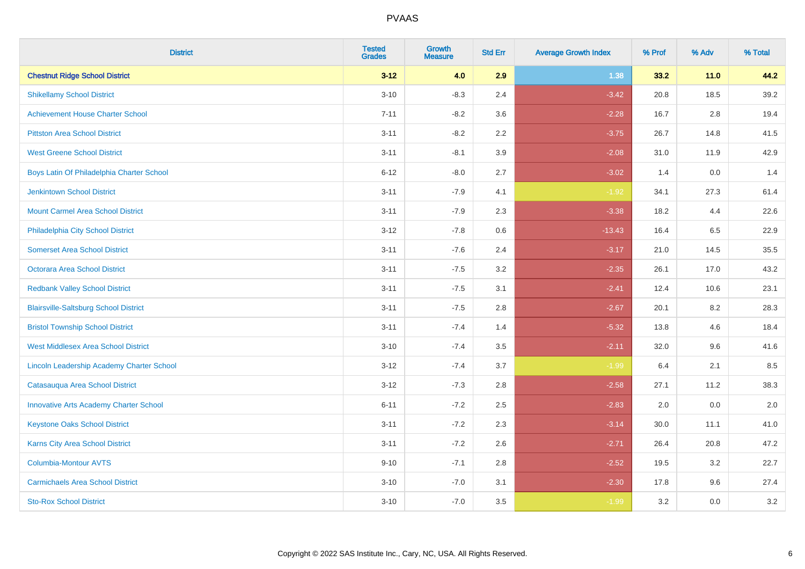| <b>District</b>                               | <b>Tested</b><br><b>Grades</b> | <b>Growth</b><br><b>Measure</b> | <b>Std Err</b> | <b>Average Growth Index</b> | % Prof | % Adv  | % Total |
|-----------------------------------------------|--------------------------------|---------------------------------|----------------|-----------------------------|--------|--------|---------|
| <b>Chestnut Ridge School District</b>         | $3 - 12$                       | 4.0                             | 2.9            | 1.38                        | 33.2   | $11.0$ | 44.2    |
| <b>Shikellamy School District</b>             | $3 - 10$                       | $-8.3$                          | 2.4            | $-3.42$                     | 20.8   | 18.5   | 39.2    |
| <b>Achievement House Charter School</b>       | $7 - 11$                       | $-8.2$                          | 3.6            | $-2.28$                     | 16.7   | 2.8    | 19.4    |
| <b>Pittston Area School District</b>          | $3 - 11$                       | $-8.2$                          | 2.2            | $-3.75$                     | 26.7   | 14.8   | 41.5    |
| <b>West Greene School District</b>            | $3 - 11$                       | $-8.1$                          | 3.9            | $-2.08$                     | 31.0   | 11.9   | 42.9    |
| Boys Latin Of Philadelphia Charter School     | $6 - 12$                       | $-8.0$                          | 2.7            | $-3.02$                     | 1.4    | 0.0    | 1.4     |
| <b>Jenkintown School District</b>             | $3 - 11$                       | $-7.9$                          | 4.1            | $-1.92$                     | 34.1   | 27.3   | 61.4    |
| <b>Mount Carmel Area School District</b>      | $3 - 11$                       | $-7.9$                          | 2.3            | $-3.38$                     | 18.2   | 4.4    | 22.6    |
| Philadelphia City School District             | $3 - 12$                       | $-7.8$                          | 0.6            | $-13.43$                    | 16.4   | 6.5    | 22.9    |
| <b>Somerset Area School District</b>          | $3 - 11$                       | $-7.6$                          | 2.4            | $-3.17$                     | 21.0   | 14.5   | 35.5    |
| <b>Octorara Area School District</b>          | $3 - 11$                       | $-7.5$                          | 3.2            | $-2.35$                     | 26.1   | 17.0   | 43.2    |
| <b>Redbank Valley School District</b>         | $3 - 11$                       | $-7.5$                          | 3.1            | $-2.41$                     | 12.4   | 10.6   | 23.1    |
| <b>Blairsville-Saltsburg School District</b>  | $3 - 11$                       | $-7.5$                          | 2.8            | $-2.67$                     | 20.1   | 8.2    | 28.3    |
| <b>Bristol Township School District</b>       | $3 - 11$                       | $-7.4$                          | 1.4            | $-5.32$                     | 13.8   | 4.6    | 18.4    |
| <b>West Middlesex Area School District</b>    | $3 - 10$                       | $-7.4$                          | 3.5            | $-2.11$                     | 32.0   | 9.6    | 41.6    |
| Lincoln Leadership Academy Charter School     | $3 - 12$                       | $-7.4$                          | 3.7            | $-1.99$                     | 6.4    | 2.1    | 8.5     |
| Catasauqua Area School District               | $3 - 12$                       | $-7.3$                          | 2.8            | $-2.58$                     | 27.1   | 11.2   | 38.3    |
| <b>Innovative Arts Academy Charter School</b> | $6 - 11$                       | $-7.2$                          | 2.5            | $-2.83$                     | 2.0    | 0.0    | $2.0\,$ |
| <b>Keystone Oaks School District</b>          | $3 - 11$                       | $-7.2$                          | 2.3            | $-3.14$                     | 30.0   | 11.1   | 41.0    |
| <b>Karns City Area School District</b>        | $3 - 11$                       | $-7.2$                          | 2.6            | $-2.71$                     | 26.4   | 20.8   | 47.2    |
| Columbia-Montour AVTS                         | $9 - 10$                       | $-7.1$                          | 2.8            | $-2.52$                     | 19.5   | 3.2    | 22.7    |
| <b>Carmichaels Area School District</b>       | $3 - 10$                       | $-7.0$                          | 3.1            | $-2.30$                     | 17.8   | 9.6    | 27.4    |
| <b>Sto-Rox School District</b>                | $3 - 10$                       | $-7.0$                          | 3.5            | $-1.99$                     | 3.2    | 0.0    | 3.2     |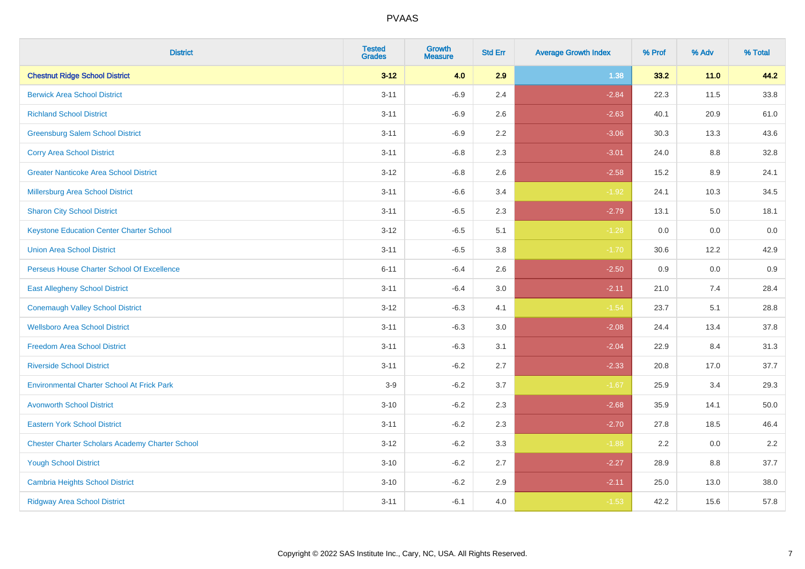| <b>District</b>                                        | <b>Tested</b><br><b>Grades</b> | <b>Growth</b><br><b>Measure</b> | <b>Std Err</b> | <b>Average Growth Index</b> | % Prof | % Adv   | % Total  |
|--------------------------------------------------------|--------------------------------|---------------------------------|----------------|-----------------------------|--------|---------|----------|
| <b>Chestnut Ridge School District</b>                  | $3 - 12$                       | 4.0                             | 2.9            | 1.38                        | 33.2   | $11.0$  | 44.2     |
| <b>Berwick Area School District</b>                    | $3 - 11$                       | $-6.9$                          | 2.4            | $-2.84$                     | 22.3   | 11.5    | 33.8     |
| <b>Richland School District</b>                        | $3 - 11$                       | $-6.9$                          | 2.6            | $-2.63$                     | 40.1   | 20.9    | 61.0     |
| <b>Greensburg Salem School District</b>                | $3 - 11$                       | $-6.9$                          | 2.2            | $-3.06$                     | 30.3   | 13.3    | 43.6     |
| <b>Corry Area School District</b>                      | $3 - 11$                       | $-6.8$                          | 2.3            | $-3.01$                     | 24.0   | 8.8     | 32.8     |
| <b>Greater Nanticoke Area School District</b>          | $3 - 12$                       | $-6.8$                          | 2.6            | $-2.58$                     | 15.2   | $8.9\,$ | 24.1     |
| Millersburg Area School District                       | $3 - 11$                       | $-6.6$                          | 3.4            | $-1.92$                     | 24.1   | 10.3    | 34.5     |
| <b>Sharon City School District</b>                     | $3 - 11$                       | $-6.5$                          | 2.3            | $-2.79$                     | 13.1   | 5.0     | 18.1     |
| <b>Keystone Education Center Charter School</b>        | $3 - 12$                       | $-6.5$                          | 5.1            | $-1.28$                     | 0.0    | 0.0     | $0.0\,$  |
| <b>Union Area School District</b>                      | $3 - 11$                       | $-6.5$                          | 3.8            | $-1.70$                     | 30.6   | 12.2    | 42.9     |
| Perseus House Charter School Of Excellence             | $6 - 11$                       | $-6.4$                          | 2.6            | $-2.50$                     | 0.9    | 0.0     | 0.9      |
| <b>East Allegheny School District</b>                  | $3 - 11$                       | $-6.4$                          | 3.0            | $-2.11$                     | 21.0   | 7.4     | 28.4     |
| <b>Conemaugh Valley School District</b>                | $3 - 12$                       | $-6.3$                          | 4.1            | $-1.54$                     | 23.7   | 5.1     | 28.8     |
| <b>Wellsboro Area School District</b>                  | $3 - 11$                       | $-6.3$                          | 3.0            | $-2.08$                     | 24.4   | 13.4    | 37.8     |
| <b>Freedom Area School District</b>                    | $3 - 11$                       | $-6.3$                          | 3.1            | $-2.04$                     | 22.9   | 8.4     | 31.3     |
| <b>Riverside School District</b>                       | $3 - 11$                       | $-6.2$                          | 2.7            | $-2.33$                     | 20.8   | 17.0    | 37.7     |
| <b>Environmental Charter School At Frick Park</b>      | $3-9$                          | $-6.2$                          | 3.7            | $-1.67$                     | 25.9   | 3.4     | 29.3     |
| <b>Avonworth School District</b>                       | $3 - 10$                       | $-6.2$                          | 2.3            | $-2.68$                     | 35.9   | 14.1    | $50.0\,$ |
| <b>Eastern York School District</b>                    | $3 - 11$                       | $-6.2$                          | 2.3            | $-2.70$                     | 27.8   | 18.5    | 46.4     |
| <b>Chester Charter Scholars Academy Charter School</b> | $3 - 12$                       | $-6.2$                          | 3.3            | $-1.88$                     | 2.2    | 0.0     | 2.2      |
| <b>Yough School District</b>                           | $3 - 10$                       | $-6.2$                          | 2.7            | $-2.27$                     | 28.9   | 8.8     | 37.7     |
| <b>Cambria Heights School District</b>                 | $3 - 10$                       | $-6.2$                          | 2.9            | $-2.11$                     | 25.0   | 13.0    | 38.0     |
| <b>Ridgway Area School District</b>                    | $3 - 11$                       | $-6.1$                          | 4.0            | $-1.53$                     | 42.2   | 15.6    | 57.8     |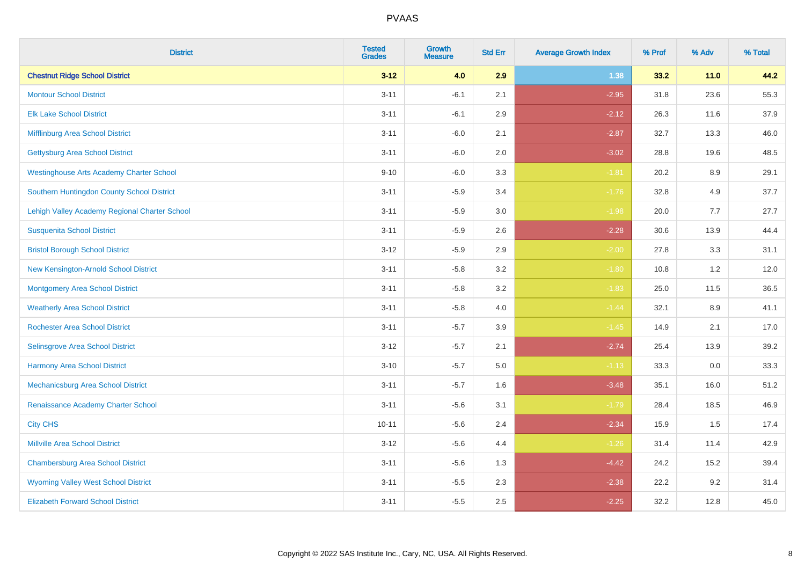| <b>District</b>                                 | <b>Tested</b><br><b>Grades</b> | <b>Growth</b><br><b>Measure</b> | <b>Std Err</b> | <b>Average Growth Index</b> | % Prof | % Adv  | % Total |
|-------------------------------------------------|--------------------------------|---------------------------------|----------------|-----------------------------|--------|--------|---------|
| <b>Chestnut Ridge School District</b>           | $3 - 12$                       | 4.0                             | 2.9            | 1.38                        | 33.2   | $11.0$ | 44.2    |
| <b>Montour School District</b>                  | $3 - 11$                       | $-6.1$                          | 2.1            | $-2.95$                     | 31.8   | 23.6   | 55.3    |
| <b>Elk Lake School District</b>                 | $3 - 11$                       | $-6.1$                          | 2.9            | $-2.12$                     | 26.3   | 11.6   | 37.9    |
| Mifflinburg Area School District                | $3 - 11$                       | $-6.0$                          | 2.1            | $-2.87$                     | 32.7   | 13.3   | 46.0    |
| <b>Gettysburg Area School District</b>          | $3 - 11$                       | $-6.0$                          | 2.0            | $-3.02$                     | 28.8   | 19.6   | 48.5    |
| <b>Westinghouse Arts Academy Charter School</b> | $9 - 10$                       | $-6.0$                          | 3.3            | $-1.81$                     | 20.2   | 8.9    | 29.1    |
| Southern Huntingdon County School District      | $3 - 11$                       | $-5.9$                          | 3.4            | $-1.76$                     | 32.8   | 4.9    | 37.7    |
| Lehigh Valley Academy Regional Charter School   | $3 - 11$                       | $-5.9$                          | 3.0            | $-1.98$                     | 20.0   | 7.7    | 27.7    |
| <b>Susquenita School District</b>               | $3 - 11$                       | $-5.9$                          | 2.6            | $-2.28$                     | 30.6   | 13.9   | 44.4    |
| <b>Bristol Borough School District</b>          | $3 - 12$                       | $-5.9$                          | 2.9            | $-2.00$                     | 27.8   | 3.3    | 31.1    |
| New Kensington-Arnold School District           | $3 - 11$                       | $-5.8$                          | 3.2            | $-1.80$                     | 10.8   | 1.2    | 12.0    |
| <b>Montgomery Area School District</b>          | $3 - 11$                       | $-5.8$                          | 3.2            | $-1.83$                     | 25.0   | 11.5   | 36.5    |
| <b>Weatherly Area School District</b>           | $3 - 11$                       | $-5.8$                          | 4.0            | $-1.44$                     | 32.1   | 8.9    | 41.1    |
| <b>Rochester Area School District</b>           | $3 - 11$                       | $-5.7$                          | 3.9            | $-1.45$                     | 14.9   | 2.1    | 17.0    |
| <b>Selinsgrove Area School District</b>         | $3 - 12$                       | $-5.7$                          | 2.1            | $-2.74$                     | 25.4   | 13.9   | 39.2    |
| <b>Harmony Area School District</b>             | $3 - 10$                       | $-5.7$                          | 5.0            | $-1.13$                     | 33.3   | 0.0    | 33.3    |
| Mechanicsburg Area School District              | $3 - 11$                       | $-5.7$                          | 1.6            | $-3.48$                     | 35.1   | 16.0   | 51.2    |
| Renaissance Academy Charter School              | $3 - 11$                       | $-5.6$                          | 3.1            | $-1.79$                     | 28.4   | 18.5   | 46.9    |
| <b>City CHS</b>                                 | $10 - 11$                      | $-5.6$                          | 2.4            | $-2.34$                     | 15.9   | 1.5    | 17.4    |
| <b>Millville Area School District</b>           | $3 - 12$                       | $-5.6$                          | 4.4            | $-1.26$                     | 31.4   | 11.4   | 42.9    |
| <b>Chambersburg Area School District</b>        | $3 - 11$                       | $-5.6$                          | 1.3            | $-4.42$                     | 24.2   | 15.2   | 39.4    |
| <b>Wyoming Valley West School District</b>      | $3 - 11$                       | $-5.5$                          | 2.3            | $-2.38$                     | 22.2   | 9.2    | 31.4    |
| <b>Elizabeth Forward School District</b>        | $3 - 11$                       | $-5.5$                          | 2.5            | $-2.25$                     | 32.2   | 12.8   | 45.0    |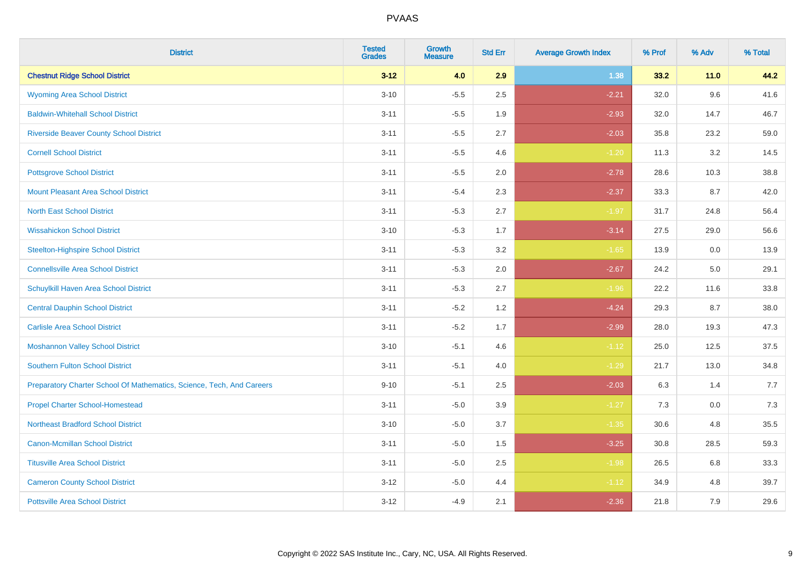| <b>District</b>                                                       | <b>Tested</b><br><b>Grades</b> | <b>Growth</b><br><b>Measure</b> | <b>Std Err</b> | <b>Average Growth Index</b> | % Prof | % Adv  | % Total |
|-----------------------------------------------------------------------|--------------------------------|---------------------------------|----------------|-----------------------------|--------|--------|---------|
| <b>Chestnut Ridge School District</b>                                 | $3 - 12$                       | 4.0                             | 2.9            | 1.38                        | 33.2   | $11.0$ | 44.2    |
| <b>Wyoming Area School District</b>                                   | $3 - 10$                       | $-5.5$                          | 2.5            | $-2.21$                     | 32.0   | 9.6    | 41.6    |
| <b>Baldwin-Whitehall School District</b>                              | $3 - 11$                       | $-5.5$                          | 1.9            | $-2.93$                     | 32.0   | 14.7   | 46.7    |
| <b>Riverside Beaver County School District</b>                        | $3 - 11$                       | $-5.5$                          | 2.7            | $-2.03$                     | 35.8   | 23.2   | 59.0    |
| <b>Cornell School District</b>                                        | $3 - 11$                       | $-5.5$                          | 4.6            | $-1.20$                     | 11.3   | 3.2    | 14.5    |
| <b>Pottsgrove School District</b>                                     | $3 - 11$                       | $-5.5$                          | 2.0            | $-2.78$                     | 28.6   | 10.3   | 38.8    |
| <b>Mount Pleasant Area School District</b>                            | $3 - 11$                       | $-5.4$                          | 2.3            | $-2.37$                     | 33.3   | 8.7    | 42.0    |
| <b>North East School District</b>                                     | $3 - 11$                       | $-5.3$                          | 2.7            | $-1.97$                     | 31.7   | 24.8   | 56.4    |
| <b>Wissahickon School District</b>                                    | $3 - 10$                       | $-5.3$                          | 1.7            | $-3.14$                     | 27.5   | 29.0   | 56.6    |
| <b>Steelton-Highspire School District</b>                             | $3 - 11$                       | $-5.3$                          | 3.2            | $-1.65$                     | 13.9   | 0.0    | 13.9    |
| <b>Connellsville Area School District</b>                             | $3 - 11$                       | $-5.3$                          | 2.0            | $-2.67$                     | 24.2   | 5.0    | 29.1    |
| Schuylkill Haven Area School District                                 | $3 - 11$                       | $-5.3$                          | 2.7            | $-1.96$                     | 22.2   | 11.6   | 33.8    |
| <b>Central Dauphin School District</b>                                | $3 - 11$                       | $-5.2$                          | 1.2            | $-4.24$                     | 29.3   | 8.7    | 38.0    |
| <b>Carlisle Area School District</b>                                  | $3 - 11$                       | $-5.2$                          | 1.7            | $-2.99$                     | 28.0   | 19.3   | 47.3    |
| <b>Moshannon Valley School District</b>                               | $3 - 10$                       | $-5.1$                          | 4.6            | $-1.12$                     | 25.0   | 12.5   | 37.5    |
| <b>Southern Fulton School District</b>                                | $3 - 11$                       | $-5.1$                          | 4.0            | $-1.29$                     | 21.7   | 13.0   | 34.8    |
| Preparatory Charter School Of Mathematics, Science, Tech, And Careers | $9 - 10$                       | $-5.1$                          | 2.5            | $-2.03$                     | 6.3    | 1.4    | 7.7     |
| <b>Propel Charter School-Homestead</b>                                | $3 - 11$                       | $-5.0$                          | 3.9            | $-1.27$                     | 7.3    | 0.0    | 7.3     |
| <b>Northeast Bradford School District</b>                             | $3 - 10$                       | $-5.0$                          | 3.7            | $-1.35$                     | 30.6   | 4.8    | 35.5    |
| <b>Canon-Mcmillan School District</b>                                 | $3 - 11$                       | $-5.0$                          | 1.5            | $-3.25$                     | 30.8   | 28.5   | 59.3    |
| <b>Titusville Area School District</b>                                | $3 - 11$                       | $-5.0$                          | 2.5            | $-1.98$                     | 26.5   | 6.8    | 33.3    |
| <b>Cameron County School District</b>                                 | $3 - 12$                       | $-5.0$                          | 4.4            | $-1.12$                     | 34.9   | 4.8    | 39.7    |
| <b>Pottsville Area School District</b>                                | $3 - 12$                       | $-4.9$                          | 2.1            | $-2.36$                     | 21.8   | 7.9    | 29.6    |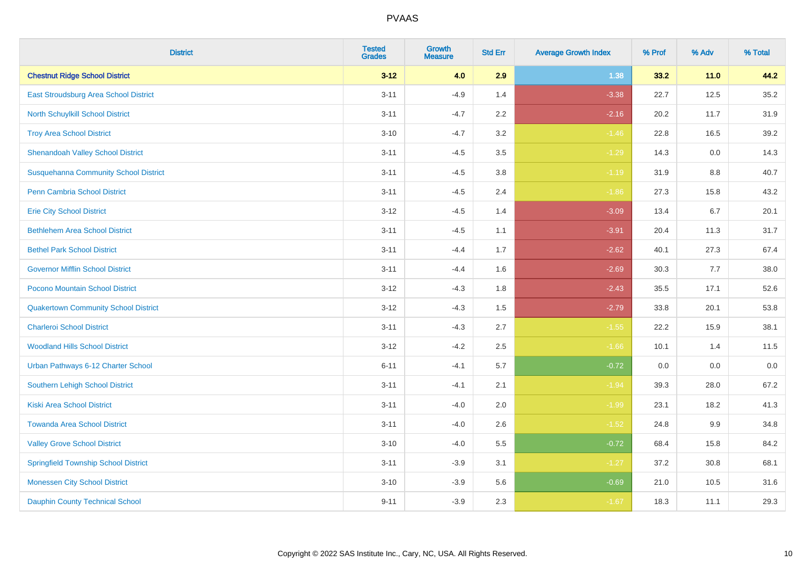| <b>District</b>                              | <b>Tested</b><br><b>Grades</b> | <b>Growth</b><br><b>Measure</b> | <b>Std Err</b> | <b>Average Growth Index</b> | % Prof | % Adv  | % Total |
|----------------------------------------------|--------------------------------|---------------------------------|----------------|-----------------------------|--------|--------|---------|
| <b>Chestnut Ridge School District</b>        | $3 - 12$                       | 4.0                             | 2.9            | 1.38                        | 33.2   | $11.0$ | 44.2    |
| East Stroudsburg Area School District        | $3 - 11$                       | $-4.9$                          | 1.4            | $-3.38$                     | 22.7   | 12.5   | 35.2    |
| <b>North Schuylkill School District</b>      | $3 - 11$                       | $-4.7$                          | 2.2            | $-2.16$                     | 20.2   | 11.7   | 31.9    |
| <b>Troy Area School District</b>             | $3 - 10$                       | $-4.7$                          | 3.2            | $-1.46$                     | 22.8   | 16.5   | 39.2    |
| <b>Shenandoah Valley School District</b>     | $3 - 11$                       | $-4.5$                          | 3.5            | $-1.29$                     | 14.3   | 0.0    | 14.3    |
| <b>Susquehanna Community School District</b> | $3 - 11$                       | $-4.5$                          | 3.8            | $-1.19$                     | 31.9   | 8.8    | 40.7    |
| <b>Penn Cambria School District</b>          | $3 - 11$                       | $-4.5$                          | 2.4            | $-1.86$                     | 27.3   | 15.8   | 43.2    |
| <b>Erie City School District</b>             | $3 - 12$                       | $-4.5$                          | 1.4            | $-3.09$                     | 13.4   | 6.7    | 20.1    |
| <b>Bethlehem Area School District</b>        | $3 - 11$                       | $-4.5$                          | 1.1            | $-3.91$                     | 20.4   | 11.3   | 31.7    |
| <b>Bethel Park School District</b>           | $3 - 11$                       | $-4.4$                          | 1.7            | $-2.62$                     | 40.1   | 27.3   | 67.4    |
| <b>Governor Mifflin School District</b>      | $3 - 11$                       | $-4.4$                          | 1.6            | $-2.69$                     | 30.3   | 7.7    | 38.0    |
| Pocono Mountain School District              | $3 - 12$                       | $-4.3$                          | 1.8            | $-2.43$                     | 35.5   | 17.1   | 52.6    |
| <b>Quakertown Community School District</b>  | $3 - 12$                       | $-4.3$                          | 1.5            | $-2.79$                     | 33.8   | 20.1   | 53.8    |
| <b>Charleroi School District</b>             | $3 - 11$                       | $-4.3$                          | 2.7            | $-1.55$                     | 22.2   | 15.9   | 38.1    |
| <b>Woodland Hills School District</b>        | $3 - 12$                       | $-4.2$                          | 2.5            | $-1.66$                     | 10.1   | 1.4    | 11.5    |
| Urban Pathways 6-12 Charter School           | $6 - 11$                       | $-4.1$                          | 5.7            | $-0.72$                     | 0.0    | 0.0    | 0.0     |
| <b>Southern Lehigh School District</b>       | $3 - 11$                       | $-4.1$                          | 2.1            | $-1.94$                     | 39.3   | 28.0   | 67.2    |
| <b>Kiski Area School District</b>            | $3 - 11$                       | $-4.0$                          | 2.0            | $-1.99$                     | 23.1   | 18.2   | 41.3    |
| <b>Towanda Area School District</b>          | $3 - 11$                       | $-4.0$                          | 2.6            | $-1.52$                     | 24.8   | 9.9    | 34.8    |
| <b>Valley Grove School District</b>          | $3 - 10$                       | $-4.0$                          | 5.5            | $-0.72$                     | 68.4   | 15.8   | 84.2    |
| <b>Springfield Township School District</b>  | $3 - 11$                       | $-3.9$                          | 3.1            | $-1.27$                     | 37.2   | 30.8   | 68.1    |
| <b>Monessen City School District</b>         | $3 - 10$                       | $-3.9$                          | 5.6            | $-0.69$                     | 21.0   | 10.5   | 31.6    |
| <b>Dauphin County Technical School</b>       | $9 - 11$                       | $-3.9$                          | 2.3            | $-1.67$                     | 18.3   | 11.1   | 29.3    |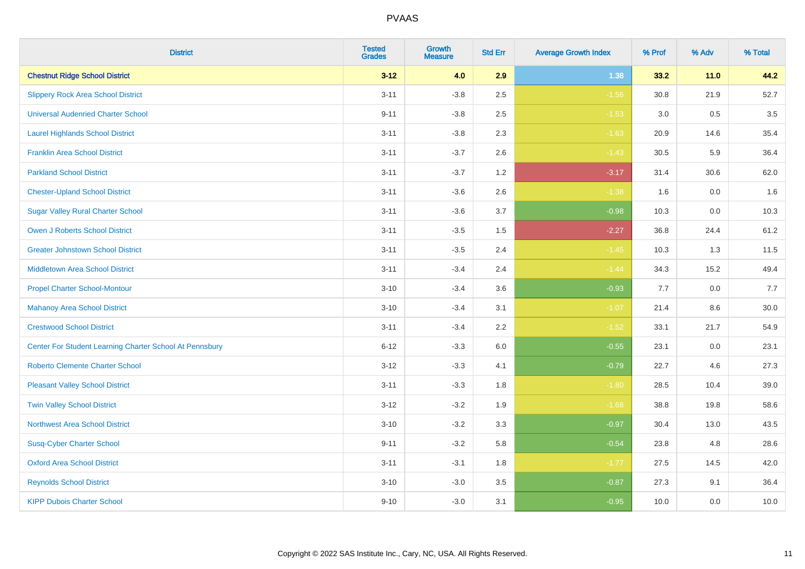| <b>District</b>                                         | <b>Tested</b><br><b>Grades</b> | <b>Growth</b><br><b>Measure</b> | <b>Std Err</b> | <b>Average Growth Index</b> | % Prof | % Adv   | % Total |
|---------------------------------------------------------|--------------------------------|---------------------------------|----------------|-----------------------------|--------|---------|---------|
| <b>Chestnut Ridge School District</b>                   | $3 - 12$                       | 4.0                             | 2.9            | 1.38                        | 33.2   | $11.0$  | 44.2    |
| <b>Slippery Rock Area School District</b>               | $3 - 11$                       | $-3.8$                          | 2.5            | $-1.56$                     | 30.8   | 21.9    | 52.7    |
| <b>Universal Audenried Charter School</b>               | $9 - 11$                       | $-3.8$                          | 2.5            | $-1.53$                     | 3.0    | 0.5     | 3.5     |
| <b>Laurel Highlands School District</b>                 | $3 - 11$                       | $-3.8$                          | 2.3            | $-1.63$                     | 20.9   | 14.6    | 35.4    |
| <b>Franklin Area School District</b>                    | $3 - 11$                       | $-3.7$                          | 2.6            | $-1.43$                     | 30.5   | 5.9     | 36.4    |
| <b>Parkland School District</b>                         | $3 - 11$                       | $-3.7$                          | 1.2            | $-3.17$                     | 31.4   | 30.6    | 62.0    |
| <b>Chester-Upland School District</b>                   | $3 - 11$                       | $-3.6$                          | 2.6            | $-1.38$                     | 1.6    | $0.0\,$ | 1.6     |
| <b>Sugar Valley Rural Charter School</b>                | $3 - 11$                       | $-3.6$                          | 3.7            | $-0.98$                     | 10.3   | 0.0     | 10.3    |
| <b>Owen J Roberts School District</b>                   | $3 - 11$                       | $-3.5$                          | 1.5            | $-2.27$                     | 36.8   | 24.4    | 61.2    |
| <b>Greater Johnstown School District</b>                | $3 - 11$                       | $-3.5$                          | 2.4            | $-1.45$                     | 10.3   | 1.3     | 11.5    |
| <b>Middletown Area School District</b>                  | $3 - 11$                       | $-3.4$                          | 2.4            | $-1.44$                     | 34.3   | 15.2    | 49.4    |
| <b>Propel Charter School-Montour</b>                    | $3 - 10$                       | $-3.4$                          | 3.6            | $-0.93$                     | 7.7    | 0.0     | 7.7     |
| <b>Mahanoy Area School District</b>                     | $3 - 10$                       | $-3.4$                          | 3.1            | $-1.07$                     | 21.4   | 8.6     | 30.0    |
| <b>Crestwood School District</b>                        | $3 - 11$                       | $-3.4$                          | 2.2            | $-1.52$                     | 33.1   | 21.7    | 54.9    |
| Center For Student Learning Charter School At Pennsbury | $6 - 12$                       | $-3.3$                          | 6.0            | $-0.55$                     | 23.1   | 0.0     | 23.1    |
| <b>Roberto Clemente Charter School</b>                  | $3 - 12$                       | $-3.3$                          | 4.1            | $-0.79$                     | 22.7   | 4.6     | 27.3    |
| <b>Pleasant Valley School District</b>                  | $3 - 11$                       | $-3.3$                          | 1.8            | $-1.80$                     | 28.5   | 10.4    | 39.0    |
| <b>Twin Valley School District</b>                      | $3 - 12$                       | $-3.2$                          | 1.9            | $-1.68$                     | 38.8   | 19.8    | 58.6    |
| <b>Northwest Area School District</b>                   | $3 - 10$                       | $-3.2$                          | 3.3            | $-0.97$                     | 30.4   | 13.0    | 43.5    |
| <b>Susq-Cyber Charter School</b>                        | $9 - 11$                       | $-3.2$                          | 5.8            | $-0.54$                     | 23.8   | 4.8     | 28.6    |
| <b>Oxford Area School District</b>                      | $3 - 11$                       | $-3.1$                          | 1.8            | $-1.77$                     | 27.5   | 14.5    | 42.0    |
| <b>Reynolds School District</b>                         | $3 - 10$                       | $-3.0$                          | 3.5            | $-0.87$                     | 27.3   | 9.1     | 36.4    |
| <b>KIPP Dubois Charter School</b>                       | $9 - 10$                       | $-3.0$                          | 3.1            | $-0.95$                     | 10.0   | 0.0     | 10.0    |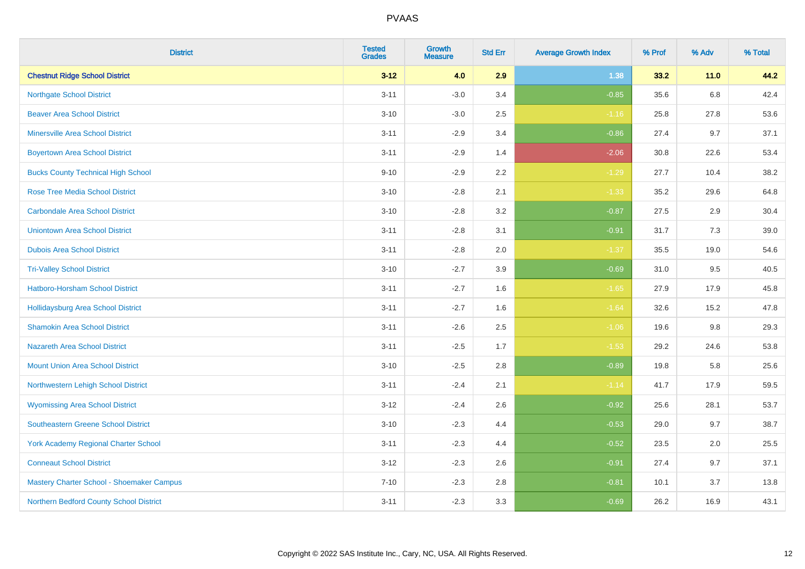| <b>District</b>                             | <b>Tested</b><br><b>Grades</b> | <b>Growth</b><br><b>Measure</b> | <b>Std Err</b> | <b>Average Growth Index</b> | % Prof | % Adv   | % Total |
|---------------------------------------------|--------------------------------|---------------------------------|----------------|-----------------------------|--------|---------|---------|
| <b>Chestnut Ridge School District</b>       | $3 - 12$                       | 4.0                             | 2.9            | 1.38                        | 33.2   | $11.0$  | 44.2    |
| <b>Northgate School District</b>            | $3 - 11$                       | $-3.0$                          | 3.4            | $-0.85$                     | 35.6   | $6.8\,$ | 42.4    |
| <b>Beaver Area School District</b>          | $3 - 10$                       | $-3.0$                          | 2.5            | $-1.16$                     | 25.8   | 27.8    | 53.6    |
| <b>Minersville Area School District</b>     | $3 - 11$                       | $-2.9$                          | 3.4            | $-0.86$                     | 27.4   | 9.7     | 37.1    |
| <b>Boyertown Area School District</b>       | $3 - 11$                       | $-2.9$                          | 1.4            | $-2.06$                     | 30.8   | 22.6    | 53.4    |
| <b>Bucks County Technical High School</b>   | $9 - 10$                       | $-2.9$                          | 2.2            | $-1.29$                     | 27.7   | 10.4    | 38.2    |
| <b>Rose Tree Media School District</b>      | $3 - 10$                       | $-2.8$                          | 2.1            | $-1.33$                     | 35.2   | 29.6    | 64.8    |
| <b>Carbondale Area School District</b>      | $3 - 10$                       | $-2.8$                          | 3.2            | $-0.87$                     | 27.5   | 2.9     | 30.4    |
| <b>Uniontown Area School District</b>       | $3 - 11$                       | $-2.8$                          | 3.1            | $-0.91$                     | 31.7   | 7.3     | 39.0    |
| <b>Dubois Area School District</b>          | $3 - 11$                       | $-2.8$                          | 2.0            | $-1.37$                     | 35.5   | 19.0    | 54.6    |
| <b>Tri-Valley School District</b>           | $3 - 10$                       | $-2.7$                          | 3.9            | $-0.69$                     | 31.0   | 9.5     | 40.5    |
| Hatboro-Horsham School District             | $3 - 11$                       | $-2.7$                          | 1.6            | $-1.65$                     | 27.9   | 17.9    | 45.8    |
| Hollidaysburg Area School District          | $3 - 11$                       | $-2.7$                          | 1.6            | $-1.64$                     | 32.6   | 15.2    | 47.8    |
| <b>Shamokin Area School District</b>        | $3 - 11$                       | $-2.6$                          | 2.5            | $-1.06$                     | 19.6   | 9.8     | 29.3    |
| <b>Nazareth Area School District</b>        | $3 - 11$                       | $-2.5$                          | 1.7            | $-1.53$                     | 29.2   | 24.6    | 53.8    |
| <b>Mount Union Area School District</b>     | $3 - 10$                       | $-2.5$                          | 2.8            | $-0.89$                     | 19.8   | 5.8     | 25.6    |
| Northwestern Lehigh School District         | $3 - 11$                       | $-2.4$                          | 2.1            | $-1.14$                     | 41.7   | 17.9    | 59.5    |
| <b>Wyomissing Area School District</b>      | $3 - 12$                       | $-2.4$                          | 2.6            | $-0.92$                     | 25.6   | 28.1    | 53.7    |
| <b>Southeastern Greene School District</b>  | $3 - 10$                       | $-2.3$                          | 4.4            | $-0.53$                     | 29.0   | 9.7     | 38.7    |
| <b>York Academy Regional Charter School</b> | $3 - 11$                       | $-2.3$                          | 4.4            | $-0.52$                     | 23.5   | 2.0     | 25.5    |
| <b>Conneaut School District</b>             | $3 - 12$                       | $-2.3$                          | 2.6            | $-0.91$                     | 27.4   | 9.7     | 37.1    |
| Mastery Charter School - Shoemaker Campus   | $7 - 10$                       | $-2.3$                          | 2.8            | $-0.81$                     | 10.1   | 3.7     | 13.8    |
| Northern Bedford County School District     | $3 - 11$                       | $-2.3$                          | 3.3            | $-0.69$                     | 26.2   | 16.9    | 43.1    |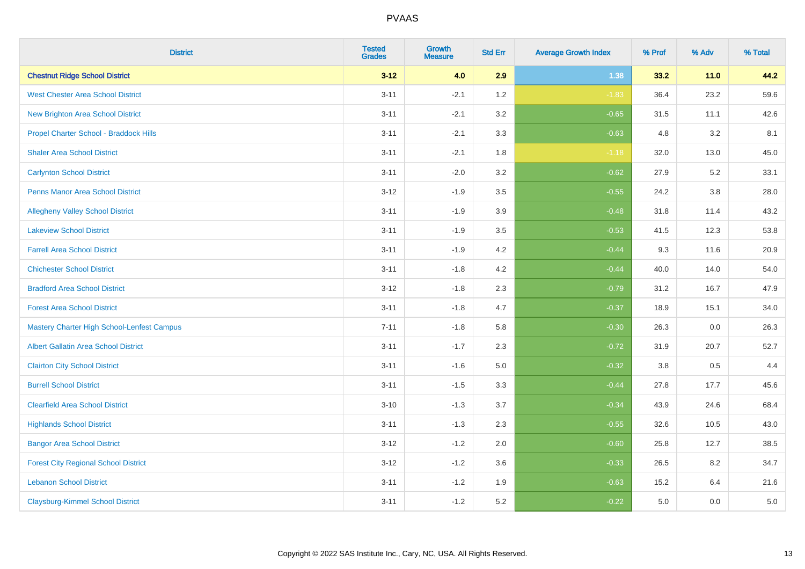| <b>District</b>                                   | <b>Tested</b><br><b>Grades</b> | <b>Growth</b><br><b>Measure</b> | <b>Std Err</b> | <b>Average Growth Index</b> | % Prof | % Adv   | % Total |
|---------------------------------------------------|--------------------------------|---------------------------------|----------------|-----------------------------|--------|---------|---------|
| <b>Chestnut Ridge School District</b>             | $3 - 12$                       | 4.0                             | 2.9            | 1.38                        | 33.2   | $11.0$  | 44.2    |
| <b>West Chester Area School District</b>          | $3 - 11$                       | $-2.1$                          | 1.2            | $-1.83$                     | 36.4   | 23.2    | 59.6    |
| New Brighton Area School District                 | $3 - 11$                       | $-2.1$                          | 3.2            | $-0.65$                     | 31.5   | 11.1    | 42.6    |
| Propel Charter School - Braddock Hills            | $3 - 11$                       | $-2.1$                          | 3.3            | $-0.63$                     | 4.8    | 3.2     | 8.1     |
| <b>Shaler Area School District</b>                | $3 - 11$                       | $-2.1$                          | 1.8            | $-1.18$                     | 32.0   | 13.0    | 45.0    |
| <b>Carlynton School District</b>                  | $3 - 11$                       | $-2.0$                          | 3.2            | $-0.62$                     | 27.9   | 5.2     | 33.1    |
| Penns Manor Area School District                  | $3 - 12$                       | $-1.9$                          | 3.5            | $-0.55$                     | 24.2   | $3.8\,$ | 28.0    |
| <b>Allegheny Valley School District</b>           | $3 - 11$                       | $-1.9$                          | 3.9            | $-0.48$                     | 31.8   | 11.4    | 43.2    |
| <b>Lakeview School District</b>                   | $3 - 11$                       | $-1.9$                          | 3.5            | $-0.53$                     | 41.5   | 12.3    | 53.8    |
| <b>Farrell Area School District</b>               | $3 - 11$                       | $-1.9$                          | 4.2            | $-0.44$                     | 9.3    | 11.6    | 20.9    |
| <b>Chichester School District</b>                 | $3 - 11$                       | $-1.8$                          | 4.2            | $-0.44$                     | 40.0   | 14.0    | 54.0    |
| <b>Bradford Area School District</b>              | $3 - 12$                       | $-1.8$                          | 2.3            | $-0.79$                     | 31.2   | 16.7    | 47.9    |
| <b>Forest Area School District</b>                | $3 - 11$                       | $-1.8$                          | 4.7            | $-0.37$                     | 18.9   | 15.1    | 34.0    |
| <b>Mastery Charter High School-Lenfest Campus</b> | $7 - 11$                       | $-1.8$                          | 5.8            | $-0.30$                     | 26.3   | 0.0     | 26.3    |
| <b>Albert Gallatin Area School District</b>       | $3 - 11$                       | $-1.7$                          | 2.3            | $-0.72$                     | 31.9   | 20.7    | 52.7    |
| <b>Clairton City School District</b>              | $3 - 11$                       | $-1.6$                          | 5.0            | $-0.32$                     | 3.8    | 0.5     | 4.4     |
| <b>Burrell School District</b>                    | $3 - 11$                       | $-1.5$                          | 3.3            | $-0.44$                     | 27.8   | 17.7    | 45.6    |
| <b>Clearfield Area School District</b>            | $3 - 10$                       | $-1.3$                          | 3.7            | $-0.34$                     | 43.9   | 24.6    | 68.4    |
| <b>Highlands School District</b>                  | $3 - 11$                       | $-1.3$                          | 2.3            | $-0.55$                     | 32.6   | 10.5    | 43.0    |
| <b>Bangor Area School District</b>                | $3 - 12$                       | $-1.2$                          | 2.0            | $-0.60$                     | 25.8   | 12.7    | 38.5    |
| <b>Forest City Regional School District</b>       | $3 - 12$                       | $-1.2$                          | 3.6            | $-0.33$                     | 26.5   | 8.2     | 34.7    |
| <b>Lebanon School District</b>                    | $3 - 11$                       | $-1.2$                          | 1.9            | $-0.63$                     | 15.2   | 6.4     | 21.6    |
| <b>Claysburg-Kimmel School District</b>           | $3 - 11$                       | $-1.2$                          | 5.2            | $-0.22$                     | 5.0    | 0.0     | $5.0\,$ |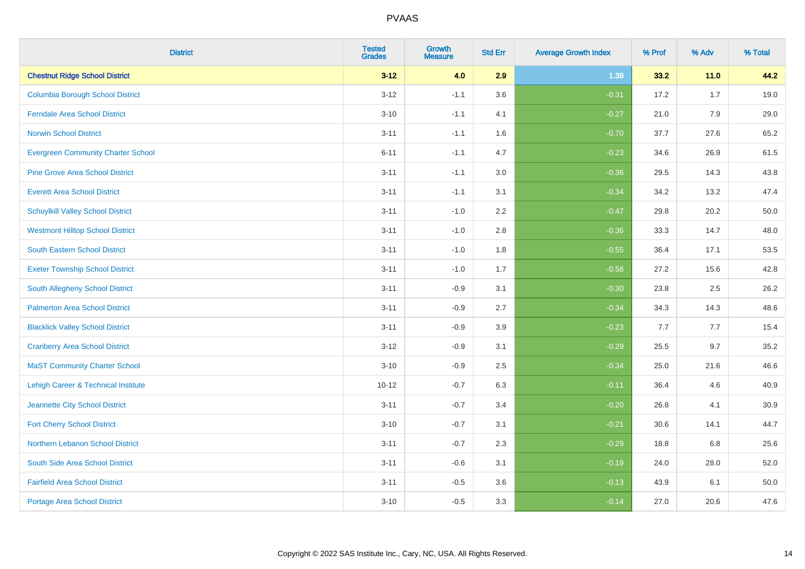| <b>District</b>                           | <b>Tested</b><br><b>Grades</b> | <b>Growth</b><br><b>Measure</b> | <b>Std Err</b> | <b>Average Growth Index</b> | % Prof | % Adv  | % Total |
|-------------------------------------------|--------------------------------|---------------------------------|----------------|-----------------------------|--------|--------|---------|
| <b>Chestnut Ridge School District</b>     | $3 - 12$                       | 4.0                             | 2.9            | 1.38                        | 33.2   | $11.0$ | 44.2    |
| <b>Columbia Borough School District</b>   | $3 - 12$                       | $-1.1$                          | 3.6            | $-0.31$                     | 17.2   | 1.7    | 19.0    |
| <b>Ferndale Area School District</b>      | $3 - 10$                       | $-1.1$                          | 4.1            | $-0.27$                     | 21.0   | 7.9    | 29.0    |
| <b>Norwin School District</b>             | $3 - 11$                       | $-1.1$                          | 1.6            | $-0.70$                     | 37.7   | 27.6   | 65.2    |
| <b>Evergreen Community Charter School</b> | $6 - 11$                       | $-1.1$                          | 4.7            | $-0.23$                     | 34.6   | 26.9   | 61.5    |
| <b>Pine Grove Area School District</b>    | $3 - 11$                       | $-1.1$                          | 3.0            | $-0.36$                     | 29.5   | 14.3   | 43.8    |
| <b>Everett Area School District</b>       | $3 - 11$                       | $-1.1$                          | 3.1            | $-0.34$                     | 34.2   | 13.2   | 47.4    |
| <b>Schuylkill Valley School District</b>  | $3 - 11$                       | $-1.0$                          | 2.2            | $-0.47$                     | 29.8   | 20.2   | 50.0    |
| <b>Westmont Hilltop School District</b>   | $3 - 11$                       | $-1.0$                          | 2.8            | $-0.36$                     | 33.3   | 14.7   | 48.0    |
| <b>South Eastern School District</b>      | $3 - 11$                       | $-1.0$                          | 1.8            | $-0.55$                     | 36.4   | 17.1   | 53.5    |
| <b>Exeter Township School District</b>    | $3 - 11$                       | $-1.0$                          | 1.7            | $-0.58$                     | 27.2   | 15.6   | 42.8    |
| South Allegheny School District           | $3 - 11$                       | $-0.9$                          | 3.1            | $-0.30$                     | 23.8   | 2.5    | 26.2    |
| <b>Palmerton Area School District</b>     | $3 - 11$                       | $-0.9$                          | 2.7            | $-0.34$                     | 34.3   | 14.3   | 48.6    |
| <b>Blacklick Valley School District</b>   | $3 - 11$                       | $-0.9$                          | 3.9            | $-0.23$                     | 7.7    | $7.7$  | 15.4    |
| <b>Cranberry Area School District</b>     | $3 - 12$                       | $-0.9$                          | 3.1            | $-0.29$                     | 25.5   | 9.7    | 35.2    |
| <b>MaST Community Charter School</b>      | $3 - 10$                       | $-0.9$                          | 2.5            | $-0.34$                     | 25.0   | 21.6   | 46.6    |
| Lehigh Career & Technical Institute       | $10 - 12$                      | $-0.7$                          | 6.3            | $-0.11$                     | 36.4   | 4.6    | 40.9    |
| Jeannette City School District            | $3 - 11$                       | $-0.7$                          | 3.4            | $-0.20$                     | 26.8   | 4.1    | 30.9    |
| <b>Fort Cherry School District</b>        | $3 - 10$                       | $-0.7$                          | 3.1            | $-0.21$                     | 30.6   | 14.1   | 44.7    |
| Northern Lebanon School District          | $3 - 11$                       | $-0.7$                          | 2.3            | $-0.29$                     | 18.8   | 6.8    | 25.6    |
| South Side Area School District           | $3 - 11$                       | $-0.6$                          | 3.1            | $-0.19$                     | 24.0   | 28.0   | 52.0    |
| <b>Fairfield Area School District</b>     | $3 - 11$                       | $-0.5$                          | 3.6            | $-0.13$                     | 43.9   | 6.1    | 50.0    |
| Portage Area School District              | $3 - 10$                       | $-0.5$                          | 3.3            | $-0.14$                     | 27.0   | 20.6   | 47.6    |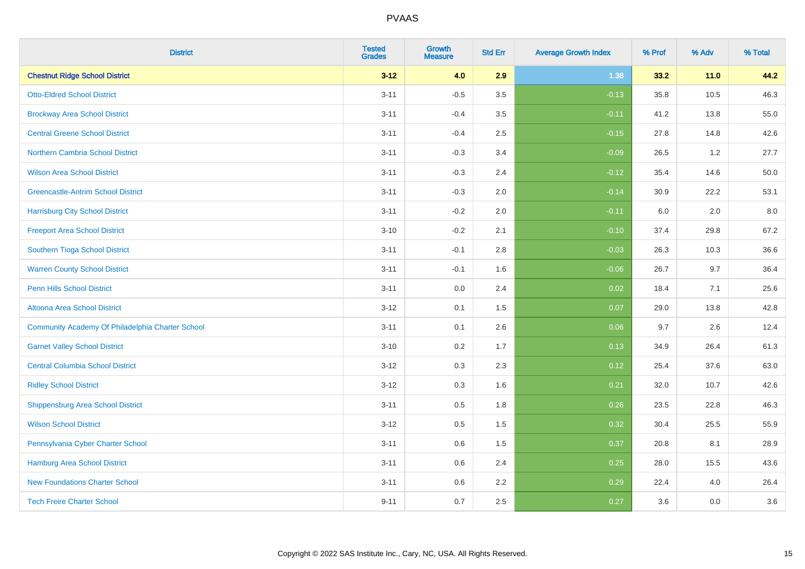| <b>District</b>                                  | <b>Tested</b><br><b>Grades</b> | <b>Growth</b><br><b>Measure</b> | <b>Std Err</b> | <b>Average Growth Index</b> | % Prof | % Adv  | % Total |
|--------------------------------------------------|--------------------------------|---------------------------------|----------------|-----------------------------|--------|--------|---------|
| <b>Chestnut Ridge School District</b>            | $3 - 12$                       | 4.0                             | 2.9            | 1.38                        | 33.2   | $11.0$ | 44.2    |
| <b>Otto-Eldred School District</b>               | $3 - 11$                       | $-0.5$                          | 3.5            | $-0.13$                     | 35.8   | 10.5   | 46.3    |
| <b>Brockway Area School District</b>             | $3 - 11$                       | $-0.4$                          | 3.5            | $-0.11$                     | 41.2   | 13.8   | 55.0    |
| <b>Central Greene School District</b>            | $3 - 11$                       | $-0.4$                          | 2.5            | $-0.15$                     | 27.8   | 14.8   | 42.6    |
| Northern Cambria School District                 | $3 - 11$                       | $-0.3$                          | 3.4            | $-0.09$                     | 26.5   | 1.2    | 27.7    |
| <b>Wilson Area School District</b>               | $3 - 11$                       | $-0.3$                          | 2.4            | $-0.12$                     | 35.4   | 14.6   | 50.0    |
| <b>Greencastle-Antrim School District</b>        | $3 - 11$                       | $-0.3$                          | 2.0            | $-0.14$                     | 30.9   | 22.2   | 53.1    |
| <b>Harrisburg City School District</b>           | $3 - 11$                       | $-0.2$                          | 2.0            | $-0.11$                     | 6.0    | 2.0    | 8.0     |
| <b>Freeport Area School District</b>             | $3 - 10$                       | $-0.2$                          | 2.1            | $-0.10$                     | 37.4   | 29.8   | 67.2    |
| Southern Tioga School District                   | $3 - 11$                       | $-0.1$                          | 2.8            | $-0.03$                     | 26.3   | 10.3   | 36.6    |
| <b>Warren County School District</b>             | $3 - 11$                       | $-0.1$                          | 1.6            | $-0.06$                     | 26.7   | 9.7    | 36.4    |
| <b>Penn Hills School District</b>                | $3 - 11$                       | 0.0                             | 2.4            | 0.02                        | 18.4   | 7.1    | 25.6    |
| Altoona Area School District                     | $3 - 12$                       | 0.1                             | 1.5            | 0.07                        | 29.0   | 13.8   | 42.8    |
| Community Academy Of Philadelphia Charter School | $3 - 11$                       | 0.1                             | 2.6            | 0.06                        | 9.7    | 2.6    | 12.4    |
| <b>Garnet Valley School District</b>             | $3 - 10$                       | 0.2                             | 1.7            | 0.13                        | 34.9   | 26.4   | 61.3    |
| <b>Central Columbia School District</b>          | $3 - 12$                       | 0.3                             | 2.3            | 0.12                        | 25.4   | 37.6   | 63.0    |
| <b>Ridley School District</b>                    | $3 - 12$                       | 0.3                             | 1.6            | 0.21                        | 32.0   | 10.7   | 42.6    |
| Shippensburg Area School District                | $3 - 11$                       | 0.5                             | 1.8            | 0.26                        | 23.5   | 22.8   | 46.3    |
| <b>Wilson School District</b>                    | $3 - 12$                       | 0.5                             | 1.5            | 0.32                        | 30.4   | 25.5   | 55.9    |
| Pennsylvania Cyber Charter School                | $3 - 11$                       | 0.6                             | 1.5            | 0.37                        | 20.8   | 8.1    | 28.9    |
| <b>Hamburg Area School District</b>              | $3 - 11$                       | 0.6                             | 2.4            | 0.25                        | 28.0   | 15.5   | 43.6    |
| <b>New Foundations Charter School</b>            | $3 - 11$                       | 0.6                             | 2.2            | 0.29                        | 22.4   | 4.0    | 26.4    |
| <b>Tech Freire Charter School</b>                | $9 - 11$                       | 0.7                             | 2.5            | 0.27                        | 3.6    | 0.0    | 3.6     |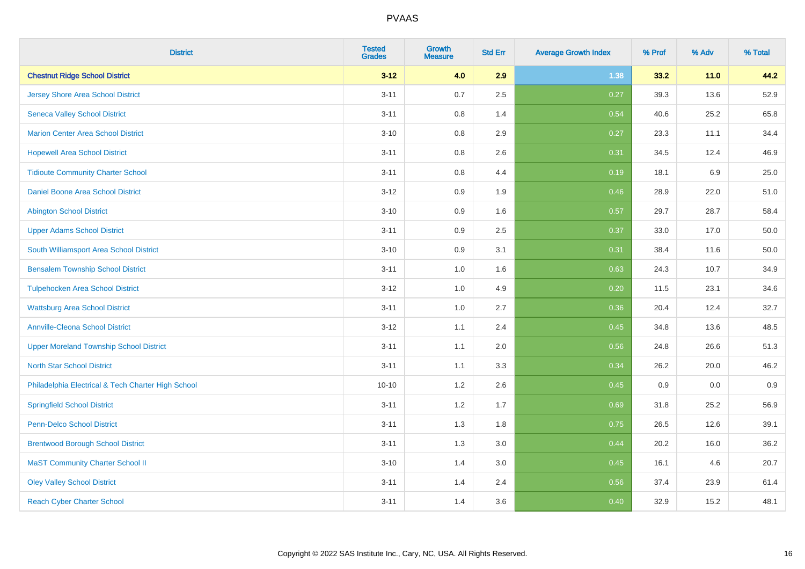| <b>District</b>                                    | <b>Tested</b><br><b>Grades</b> | <b>Growth</b><br><b>Measure</b> | <b>Std Err</b> | <b>Average Growth Index</b> | % Prof | % Adv   | % Total |
|----------------------------------------------------|--------------------------------|---------------------------------|----------------|-----------------------------|--------|---------|---------|
| <b>Chestnut Ridge School District</b>              | $3 - 12$                       | 4.0                             | 2.9            | 1.38                        | 33.2   | $11.0$  | 44.2    |
| <b>Jersey Shore Area School District</b>           | $3 - 11$                       | 0.7                             | 2.5            | 0.27                        | 39.3   | 13.6    | 52.9    |
| <b>Seneca Valley School District</b>               | $3 - 11$                       | 0.8                             | 1.4            | 0.54                        | 40.6   | 25.2    | 65.8    |
| <b>Marion Center Area School District</b>          | $3 - 10$                       | 0.8                             | 2.9            | 0.27                        | 23.3   | 11.1    | 34.4    |
| <b>Hopewell Area School District</b>               | $3 - 11$                       | 0.8                             | 2.6            | 0.31                        | 34.5   | 12.4    | 46.9    |
| <b>Tidioute Community Charter School</b>           | $3 - 11$                       | 0.8                             | 4.4            | 0.19                        | 18.1   | $6.9\,$ | 25.0    |
| Daniel Boone Area School District                  | $3 - 12$                       | 0.9                             | 1.9            | 0.46                        | 28.9   | 22.0    | 51.0    |
| <b>Abington School District</b>                    | $3 - 10$                       | 0.9                             | 1.6            | 0.57                        | 29.7   | 28.7    | 58.4    |
| <b>Upper Adams School District</b>                 | $3 - 11$                       | 0.9                             | 2.5            | 0.37                        | 33.0   | 17.0    | 50.0    |
| South Williamsport Area School District            | $3 - 10$                       | 0.9                             | 3.1            | 0.31                        | 38.4   | 11.6    | 50.0    |
| <b>Bensalem Township School District</b>           | $3 - 11$                       | 1.0                             | 1.6            | 0.63                        | 24.3   | 10.7    | 34.9    |
| <b>Tulpehocken Area School District</b>            | $3 - 12$                       | 1.0                             | 4.9            | 0.20                        | 11.5   | 23.1    | 34.6    |
| <b>Wattsburg Area School District</b>              | $3 - 11$                       | $1.0\,$                         | 2.7            | 0.36                        | 20.4   | 12.4    | 32.7    |
| <b>Annville-Cleona School District</b>             | $3 - 12$                       | 1.1                             | 2.4            | 0.45                        | 34.8   | 13.6    | 48.5    |
| <b>Upper Moreland Township School District</b>     | $3 - 11$                       | 1.1                             | 2.0            | 0.56                        | 24.8   | 26.6    | 51.3    |
| <b>North Star School District</b>                  | $3 - 11$                       | 1.1                             | 3.3            | 0.34                        | 26.2   | 20.0    | 46.2    |
| Philadelphia Electrical & Tech Charter High School | $10 - 10$                      | 1.2                             | 2.6            | 0.45                        | 0.9    | 0.0     | 0.9     |
| <b>Springfield School District</b>                 | $3 - 11$                       | 1.2                             | 1.7            | 0.69                        | 31.8   | 25.2    | 56.9    |
| <b>Penn-Delco School District</b>                  | $3 - 11$                       | 1.3                             | 1.8            | 0.75                        | 26.5   | 12.6    | 39.1    |
| <b>Brentwood Borough School District</b>           | $3 - 11$                       | 1.3                             | 3.0            | 0.44                        | 20.2   | 16.0    | 36.2    |
| <b>MaST Community Charter School II</b>            | $3 - 10$                       | 1.4                             | 3.0            | 0.45                        | 16.1   | 4.6     | 20.7    |
| <b>Oley Valley School District</b>                 | $3 - 11$                       | 1.4                             | 2.4            | 0.56                        | 37.4   | 23.9    | 61.4    |
| <b>Reach Cyber Charter School</b>                  | $3 - 11$                       | 1.4                             | 3.6            | 0.40                        | 32.9   | 15.2    | 48.1    |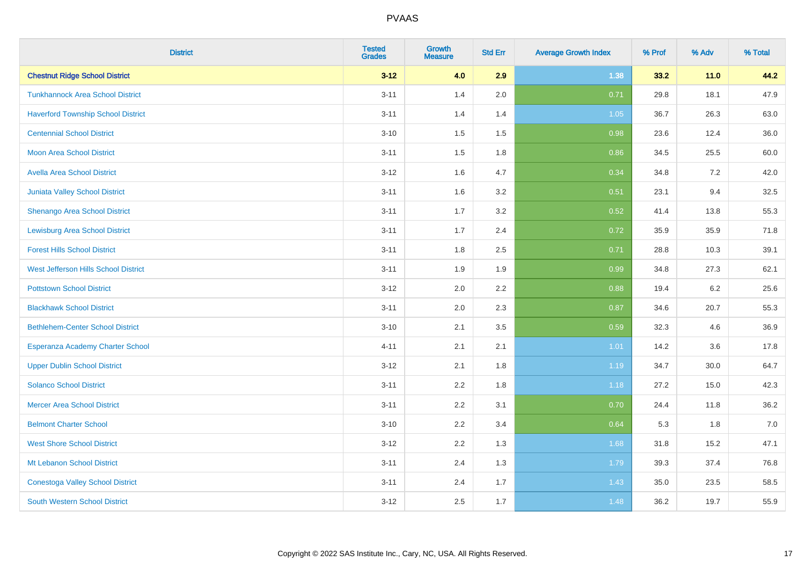| <b>District</b>                           | <b>Tested</b><br><b>Grades</b> | <b>Growth</b><br><b>Measure</b> | <b>Std Err</b> | <b>Average Growth Index</b> | % Prof | % Adv  | % Total |
|-------------------------------------------|--------------------------------|---------------------------------|----------------|-----------------------------|--------|--------|---------|
| <b>Chestnut Ridge School District</b>     | $3 - 12$                       | 4.0                             | 2.9            | 1.38                        | 33.2   | $11.0$ | 44.2    |
| <b>Tunkhannock Area School District</b>   | $3 - 11$                       | 1.4                             | 2.0            | 0.71                        | 29.8   | 18.1   | 47.9    |
| <b>Haverford Township School District</b> | $3 - 11$                       | 1.4                             | 1.4            | 1.05                        | 36.7   | 26.3   | 63.0    |
| <b>Centennial School District</b>         | $3 - 10$                       | 1.5                             | 1.5            | 0.98                        | 23.6   | 12.4   | 36.0    |
| <b>Moon Area School District</b>          | $3 - 11$                       | 1.5                             | 1.8            | 0.86                        | 34.5   | 25.5   | 60.0    |
| <b>Avella Area School District</b>        | $3 - 12$                       | 1.6                             | 4.7            | 0.34                        | 34.8   | 7.2    | 42.0    |
| Juniata Valley School District            | $3 - 11$                       | 1.6                             | 3.2            | 0.51                        | 23.1   | 9.4    | 32.5    |
| <b>Shenango Area School District</b>      | $3 - 11$                       | 1.7                             | 3.2            | 0.52                        | 41.4   | 13.8   | 55.3    |
| <b>Lewisburg Area School District</b>     | $3 - 11$                       | 1.7                             | 2.4            | 0.72                        | 35.9   | 35.9   | 71.8    |
| <b>Forest Hills School District</b>       | $3 - 11$                       | 1.8                             | 2.5            | 0.71                        | 28.8   | 10.3   | 39.1    |
| West Jefferson Hills School District      | $3 - 11$                       | 1.9                             | 1.9            | 0.99                        | 34.8   | 27.3   | 62.1    |
| <b>Pottstown School District</b>          | $3 - 12$                       | 2.0                             | 2.2            | 0.88                        | 19.4   | 6.2    | 25.6    |
| <b>Blackhawk School District</b>          | $3 - 11$                       | 2.0                             | 2.3            | 0.87                        | 34.6   | 20.7   | 55.3    |
| <b>Bethlehem-Center School District</b>   | $3 - 10$                       | 2.1                             | 3.5            | 0.59                        | 32.3   | 4.6    | 36.9    |
| Esperanza Academy Charter School          | $4 - 11$                       | 2.1                             | 2.1            | 1.01                        | 14.2   | 3.6    | 17.8    |
| <b>Upper Dublin School District</b>       | $3 - 12$                       | 2.1                             | 1.8            | 1.19                        | 34.7   | 30.0   | 64.7    |
| <b>Solanco School District</b>            | $3 - 11$                       | 2.2                             | 1.8            | 1.18                        | 27.2   | 15.0   | 42.3    |
| <b>Mercer Area School District</b>        | $3 - 11$                       | 2.2                             | 3.1            | 0.70                        | 24.4   | 11.8   | 36.2    |
| <b>Belmont Charter School</b>             | $3 - 10$                       | 2.2                             | 3.4            | 0.64                        | 5.3    | 1.8    | $7.0$   |
| <b>West Shore School District</b>         | $3 - 12$                       | 2.2                             | 1.3            | 1.68                        | 31.8   | 15.2   | 47.1    |
| Mt Lebanon School District                | $3 - 11$                       | 2.4                             | 1.3            | 1.79                        | 39.3   | 37.4   | 76.8    |
| <b>Conestoga Valley School District</b>   | $3 - 11$                       | 2.4                             | 1.7            | 1.43                        | 35.0   | 23.5   | 58.5    |
| <b>South Western School District</b>      | $3 - 12$                       | 2.5                             | 1.7            | 1.48                        | 36.2   | 19.7   | 55.9    |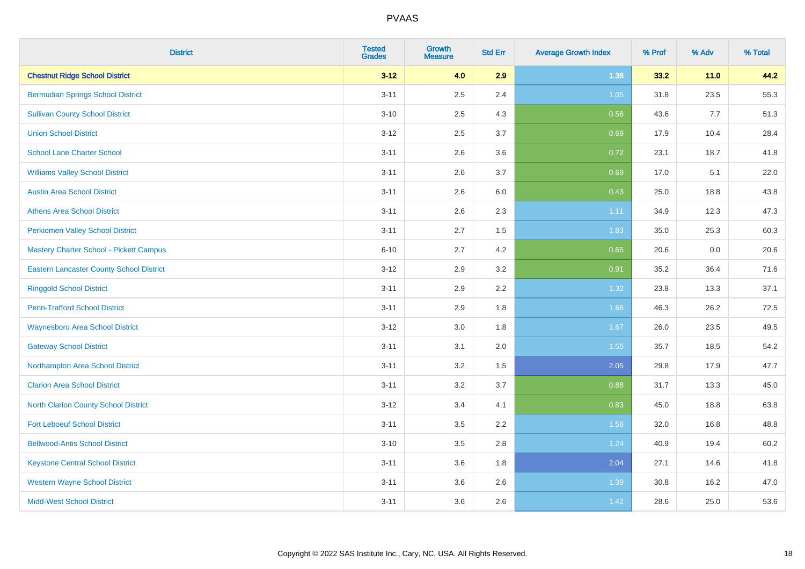| <b>District</b>                                 | <b>Tested</b><br><b>Grades</b> | <b>Growth</b><br><b>Measure</b> | <b>Std Err</b> | <b>Average Growth Index</b> | % Prof | % Adv  | % Total |
|-------------------------------------------------|--------------------------------|---------------------------------|----------------|-----------------------------|--------|--------|---------|
| <b>Chestnut Ridge School District</b>           | $3 - 12$                       | 4.0                             | 2.9            | 1.38                        | 33.2   | $11.0$ | 44.2    |
| <b>Bermudian Springs School District</b>        | $3 - 11$                       | 2.5                             | 2.4            | $1.05$                      | 31.8   | 23.5   | 55.3    |
| <b>Sullivan County School District</b>          | $3 - 10$                       | 2.5                             | 4.3            | 0.58                        | 43.6   | 7.7    | 51.3    |
| <b>Union School District</b>                    | $3 - 12$                       | 2.5                             | 3.7            | 0.69                        | 17.9   | 10.4   | 28.4    |
| <b>School Lane Charter School</b>               | $3 - 11$                       | 2.6                             | 3.6            | 0.72                        | 23.1   | 18.7   | 41.8    |
| <b>Williams Valley School District</b>          | $3 - 11$                       | 2.6                             | 3.7            | 0.69                        | 17.0   | 5.1    | 22.0    |
| <b>Austin Area School District</b>              | $3 - 11$                       | 2.6                             | 6.0            | 0.43                        | 25.0   | 18.8   | 43.8    |
| <b>Athens Area School District</b>              | $3 - 11$                       | 2.6                             | 2.3            | 1.11                        | 34.9   | 12.3   | 47.3    |
| <b>Perkiomen Valley School District</b>         | $3 - 11$                       | 2.7                             | 1.5            | 1.83                        | 35.0   | 25.3   | 60.3    |
| Mastery Charter School - Pickett Campus         | $6 - 10$                       | 2.7                             | 4.2            | 0.65                        | 20.6   | 0.0    | 20.6    |
| <b>Eastern Lancaster County School District</b> | $3 - 12$                       | 2.9                             | 3.2            | 0.91                        | 35.2   | 36.4   | 71.6    |
| <b>Ringgold School District</b>                 | $3 - 11$                       | 2.9                             | 2.2            | 1.32                        | 23.8   | 13.3   | 37.1    |
| <b>Penn-Trafford School District</b>            | $3 - 11$                       | 2.9                             | 1.8            | 1.68                        | 46.3   | 26.2   | 72.5    |
| <b>Waynesboro Area School District</b>          | $3 - 12$                       | 3.0                             | 1.8            | 1.67                        | 26.0   | 23.5   | 49.5    |
| <b>Gateway School District</b>                  | $3 - 11$                       | 3.1                             | 2.0            | 1.55                        | 35.7   | 18.5   | 54.2    |
| Northampton Area School District                | $3 - 11$                       | 3.2                             | 1.5            | 2.05                        | 29.8   | 17.9   | 47.7    |
| <b>Clarion Area School District</b>             | $3 - 11$                       | 3.2                             | 3.7            | 0.88                        | 31.7   | 13.3   | 45.0    |
| <b>North Clarion County School District</b>     | $3 - 12$                       | 3.4                             | 4.1            | 0.83                        | 45.0   | 18.8   | 63.8    |
| <b>Fort Leboeuf School District</b>             | $3 - 11$                       | 3.5                             | 2.2            | 1.58                        | 32.0   | 16.8   | 48.8    |
| <b>Bellwood-Antis School District</b>           | $3 - 10$                       | 3.5                             | 2.8            | 1.24                        | 40.9   | 19.4   | 60.2    |
| <b>Keystone Central School District</b>         | $3 - 11$                       | 3.6                             | 1.8            | 2.04                        | 27.1   | 14.6   | 41.8    |
| <b>Western Wayne School District</b>            | $3 - 11$                       | 3.6                             | 2.6            | 1.39                        | 30.8   | 16.2   | 47.0    |
| <b>Midd-West School District</b>                | $3 - 11$                       | 3.6                             | 2.6            | 1.42                        | 28.6   | 25.0   | 53.6    |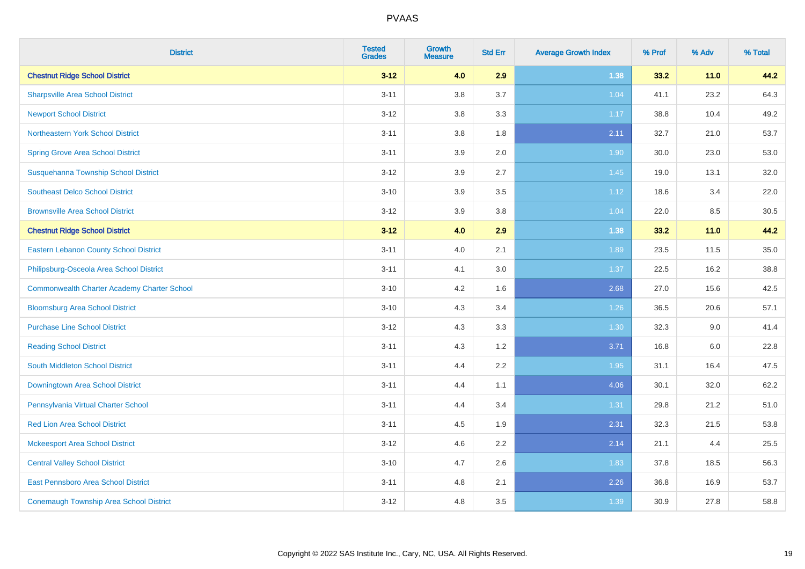| <b>District</b>                                    | <b>Tested</b><br><b>Grades</b> | <b>Growth</b><br><b>Measure</b> | <b>Std Err</b> | <b>Average Growth Index</b> | % Prof | % Adv | % Total |
|----------------------------------------------------|--------------------------------|---------------------------------|----------------|-----------------------------|--------|-------|---------|
| <b>Chestnut Ridge School District</b>              | $3 - 12$                       | 4.0                             | 2.9            | 1.38                        | 33.2   | 11.0  | 44.2    |
| <b>Sharpsville Area School District</b>            | $3 - 11$                       | 3.8                             | 3.7            | 1.04                        | 41.1   | 23.2  | 64.3    |
| <b>Newport School District</b>                     | $3 - 12$                       | 3.8                             | 3.3            | 1.17                        | 38.8   | 10.4  | 49.2    |
| Northeastern York School District                  | $3 - 11$                       | 3.8                             | 1.8            | 2.11                        | 32.7   | 21.0  | 53.7    |
| <b>Spring Grove Area School District</b>           | $3 - 11$                       | 3.9                             | 2.0            | 1.90                        | 30.0   | 23.0  | 53.0    |
| Susquehanna Township School District               | $3 - 12$                       | 3.9                             | 2.7            | 1.45                        | 19.0   | 13.1  | 32.0    |
| <b>Southeast Delco School District</b>             | $3 - 10$                       | 3.9                             | 3.5            | 1.12                        | 18.6   | 3.4   | 22.0    |
| <b>Brownsville Area School District</b>            | $3 - 12$                       | 3.9                             | 3.8            | 1.04                        | 22.0   | 8.5   | 30.5    |
| <b>Chestnut Ridge School District</b>              | $3-12$                         | 4.0                             | 2.9            | 1.38                        | 33.2   | 11.0  | 44.2    |
| Eastern Lebanon County School District             | $3 - 11$                       | 4.0                             | 2.1            | 1.89                        | 23.5   | 11.5  | 35.0    |
| Philipsburg-Osceola Area School District           | $3 - 11$                       | 4.1                             | 3.0            | 1.37                        | 22.5   | 16.2  | 38.8    |
| <b>Commonwealth Charter Academy Charter School</b> | $3 - 10$                       | 4.2                             | 1.6            | 2.68                        | 27.0   | 15.6  | 42.5    |
| <b>Bloomsburg Area School District</b>             | $3 - 10$                       | 4.3                             | 3.4            | 1.26                        | 36.5   | 20.6  | 57.1    |
| <b>Purchase Line School District</b>               | $3 - 12$                       | 4.3                             | 3.3            | 1.30                        | 32.3   | 9.0   | 41.4    |
| <b>Reading School District</b>                     | $3 - 11$                       | 4.3                             | 1.2            | 3.71                        | 16.8   | 6.0   | 22.8    |
| <b>South Middleton School District</b>             | $3 - 11$                       | 4.4                             | 2.2            | 1.95                        | 31.1   | 16.4  | 47.5    |
| Downingtown Area School District                   | $3 - 11$                       | 4.4                             | 1.1            | 4.06                        | 30.1   | 32.0  | 62.2    |
| Pennsylvania Virtual Charter School                | $3 - 11$                       | 4.4                             | 3.4            | 1.31                        | 29.8   | 21.2  | 51.0    |
| <b>Red Lion Area School District</b>               | $3 - 11$                       | 4.5                             | 1.9            | 2.31                        | 32.3   | 21.5  | 53.8    |
| <b>Mckeesport Area School District</b>             | $3 - 12$                       | 4.6                             | 2.2            | 2.14                        | 21.1   | 4.4   | 25.5    |
| <b>Central Valley School District</b>              | $3 - 10$                       | 4.7                             | 2.6            | 1.83                        | 37.8   | 18.5  | 56.3    |
| East Pennsboro Area School District                | $3 - 11$                       | 4.8                             | 2.1            | 2.26                        | 36.8   | 16.9  | 53.7    |
| <b>Conemaugh Township Area School District</b>     | $3 - 12$                       | 4.8                             | 3.5            | 1.39                        | 30.9   | 27.8  | 58.8    |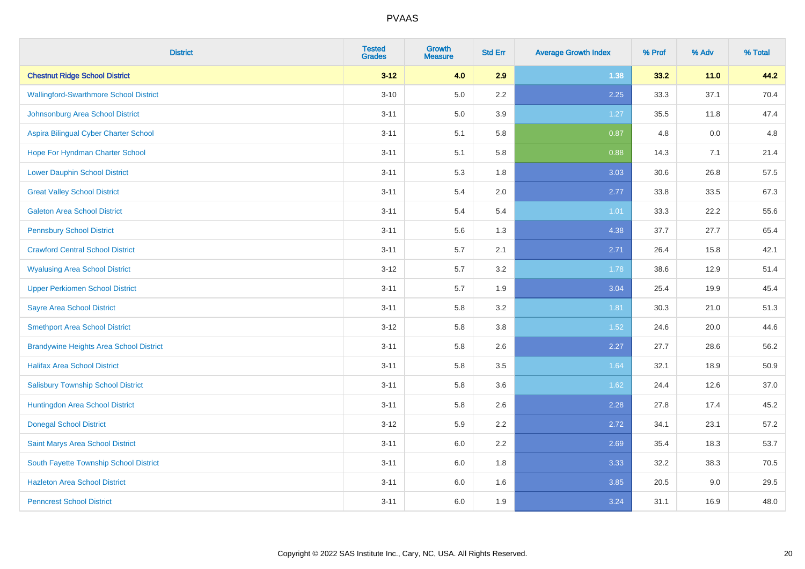| <b>District</b>                                | <b>Tested</b><br><b>Grades</b> | <b>Growth</b><br><b>Measure</b> | <b>Std Err</b> | <b>Average Growth Index</b> | % Prof | % Adv | % Total |
|------------------------------------------------|--------------------------------|---------------------------------|----------------|-----------------------------|--------|-------|---------|
| <b>Chestnut Ridge School District</b>          | $3 - 12$                       | 4.0                             | 2.9            | 1.38                        | 33.2   | 11.0  | 44.2    |
| <b>Wallingford-Swarthmore School District</b>  | $3 - 10$                       | $5.0\,$                         | $2.2\,$        | 2.25                        | 33.3   | 37.1  | 70.4    |
| Johnsonburg Area School District               | $3 - 11$                       | 5.0                             | 3.9            | 1.27                        | 35.5   | 11.8  | 47.4    |
| Aspira Bilingual Cyber Charter School          | $3 - 11$                       | 5.1                             | 5.8            | 0.87                        | 4.8    | 0.0   | 4.8     |
| Hope For Hyndman Charter School                | $3 - 11$                       | 5.1                             | 5.8            | 0.88                        | 14.3   | 7.1   | 21.4    |
| <b>Lower Dauphin School District</b>           | $3 - 11$                       | 5.3                             | 1.8            | 3.03                        | 30.6   | 26.8  | 57.5    |
| <b>Great Valley School District</b>            | $3 - 11$                       | 5.4                             | 2.0            | 2.77                        | 33.8   | 33.5  | 67.3    |
| <b>Galeton Area School District</b>            | $3 - 11$                       | 5.4                             | 5.4            | 1.01                        | 33.3   | 22.2  | 55.6    |
| <b>Pennsbury School District</b>               | $3 - 11$                       | 5.6                             | 1.3            | 4.38                        | 37.7   | 27.7  | 65.4    |
| <b>Crawford Central School District</b>        | $3 - 11$                       | 5.7                             | 2.1            | 2.71                        | 26.4   | 15.8  | 42.1    |
| <b>Wyalusing Area School District</b>          | $3 - 12$                       | 5.7                             | 3.2            | 1.78                        | 38.6   | 12.9  | 51.4    |
| <b>Upper Perkiomen School District</b>         | $3 - 11$                       | 5.7                             | 1.9            | 3.04                        | 25.4   | 19.9  | 45.4    |
| <b>Sayre Area School District</b>              | $3 - 11$                       | 5.8                             | 3.2            | 1.81                        | 30.3   | 21.0  | 51.3    |
| <b>Smethport Area School District</b>          | $3 - 12$                       | 5.8                             | 3.8            | 1.52                        | 24.6   | 20.0  | 44.6    |
| <b>Brandywine Heights Area School District</b> | $3 - 11$                       | 5.8                             | 2.6            | 2.27                        | 27.7   | 28.6  | 56.2    |
| <b>Halifax Area School District</b>            | $3 - 11$                       | 5.8                             | 3.5            | 1.64                        | 32.1   | 18.9  | 50.9    |
| <b>Salisbury Township School District</b>      | $3 - 11$                       | 5.8                             | 3.6            | 1.62                        | 24.4   | 12.6  | 37.0    |
| Huntingdon Area School District                | $3 - 11$                       | 5.8                             | 2.6            | 2.28                        | 27.8   | 17.4  | 45.2    |
| <b>Donegal School District</b>                 | $3 - 12$                       | 5.9                             | 2.2            | 2.72                        | 34.1   | 23.1  | 57.2    |
| Saint Marys Area School District               | $3 - 11$                       | 6.0                             | 2.2            | 2.69                        | 35.4   | 18.3  | 53.7    |
| South Fayette Township School District         | $3 - 11$                       | 6.0                             | 1.8            | 3.33                        | 32.2   | 38.3  | 70.5    |
| <b>Hazleton Area School District</b>           | $3 - 11$                       | 6.0                             | 1.6            | 3.85                        | 20.5   | 9.0   | 29.5    |
| <b>Penncrest School District</b>               | $3 - 11$                       | 6.0                             | 1.9            | 3.24                        | 31.1   | 16.9  | 48.0    |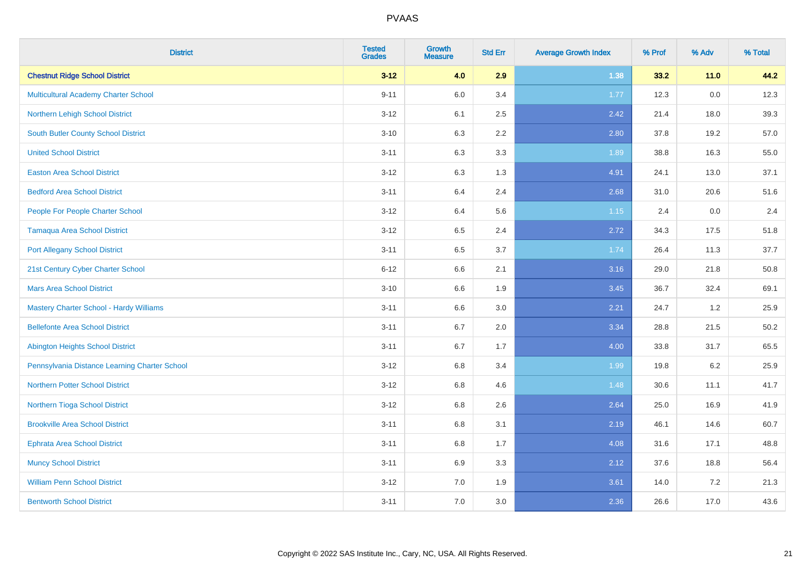| <b>District</b>                                | <b>Tested</b><br><b>Grades</b> | <b>Growth</b><br><b>Measure</b> | <b>Std Err</b> | <b>Average Growth Index</b> | % Prof | % Adv   | % Total |
|------------------------------------------------|--------------------------------|---------------------------------|----------------|-----------------------------|--------|---------|---------|
| <b>Chestnut Ridge School District</b>          | $3 - 12$                       | 4.0                             | 2.9            | 1.38                        | 33.2   | 11.0    | 44.2    |
| Multicultural Academy Charter School           | $9 - 11$                       | 6.0                             | 3.4            | 1.77                        | 12.3   | $0.0\,$ | 12.3    |
| Northern Lehigh School District                | $3 - 12$                       | 6.1                             | 2.5            | 2.42                        | 21.4   | 18.0    | 39.3    |
| South Butler County School District            | $3 - 10$                       | 6.3                             | 2.2            | 2.80                        | 37.8   | 19.2    | 57.0    |
| <b>United School District</b>                  | $3 - 11$                       | 6.3                             | 3.3            | 1.89                        | 38.8   | 16.3    | 55.0    |
| <b>Easton Area School District</b>             | $3 - 12$                       | 6.3                             | 1.3            | 4.91                        | 24.1   | 13.0    | 37.1    |
| <b>Bedford Area School District</b>            | $3 - 11$                       | 6.4                             | 2.4            | 2.68                        | 31.0   | 20.6    | 51.6    |
| People For People Charter School               | $3 - 12$                       | 6.4                             | 5.6            | 1.15                        | 2.4    | 0.0     | 2.4     |
| <b>Tamaqua Area School District</b>            | $3 - 12$                       | 6.5                             | 2.4            | 2.72                        | 34.3   | 17.5    | 51.8    |
| <b>Port Allegany School District</b>           | $3 - 11$                       | 6.5                             | 3.7            | 1.74                        | 26.4   | 11.3    | 37.7    |
| 21st Century Cyber Charter School              | $6 - 12$                       | 6.6                             | 2.1            | 3.16                        | 29.0   | 21.8    | 50.8    |
| <b>Mars Area School District</b>               | $3 - 10$                       | 6.6                             | 1.9            | 3.45                        | 36.7   | 32.4    | 69.1    |
| <b>Mastery Charter School - Hardy Williams</b> | $3 - 11$                       | 6.6                             | 3.0            | 2.21                        | 24.7   | 1.2     | 25.9    |
| <b>Bellefonte Area School District</b>         | $3 - 11$                       | 6.7                             | 2.0            | 3.34                        | 28.8   | 21.5    | 50.2    |
| <b>Abington Heights School District</b>        | $3 - 11$                       | 6.7                             | 1.7            | 4.00                        | 33.8   | 31.7    | 65.5    |
| Pennsylvania Distance Learning Charter School  | $3 - 12$                       | 6.8                             | 3.4            | 1.99                        | 19.8   | $6.2\,$ | 25.9    |
| <b>Northern Potter School District</b>         | $3 - 12$                       | 6.8                             | 4.6            | 1.48                        | 30.6   | 11.1    | 41.7    |
| Northern Tioga School District                 | $3 - 12$                       | 6.8                             | 2.6            | 2.64                        | 25.0   | 16.9    | 41.9    |
| <b>Brookville Area School District</b>         | $3 - 11$                       | 6.8                             | 3.1            | 2.19                        | 46.1   | 14.6    | 60.7    |
| Ephrata Area School District                   | $3 - 11$                       | 6.8                             | 1.7            | 4.08                        | 31.6   | 17.1    | 48.8    |
| <b>Muncy School District</b>                   | $3 - 11$                       | 6.9                             | 3.3            | 2.12                        | 37.6   | 18.8    | 56.4    |
| <b>William Penn School District</b>            | $3 - 12$                       | 7.0                             | 1.9            | 3.61                        | 14.0   | 7.2     | 21.3    |
| <b>Bentworth School District</b>               | $3 - 11$                       | 7.0                             | 3.0            | 2.36                        | 26.6   | 17.0    | 43.6    |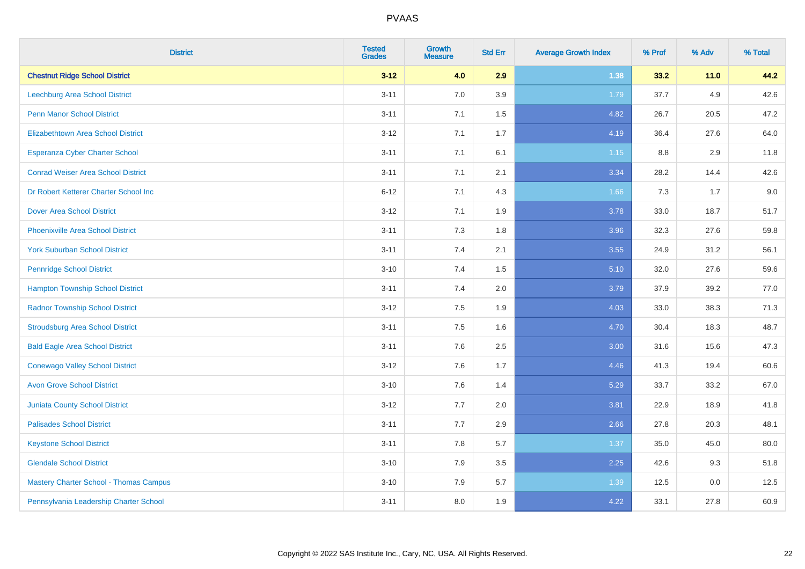| <b>District</b>                               | <b>Tested</b><br><b>Grades</b> | <b>Growth</b><br><b>Measure</b> | <b>Std Err</b> | <b>Average Growth Index</b> | % Prof | % Adv   | % Total |
|-----------------------------------------------|--------------------------------|---------------------------------|----------------|-----------------------------|--------|---------|---------|
| <b>Chestnut Ridge School District</b>         | $3 - 12$                       | 4.0                             | 2.9            | 1.38                        | 33.2   | $11.0$  | 44.2    |
| Leechburg Area School District                | $3 - 11$                       | 7.0                             | 3.9            | 1.79                        | 37.7   | $4.9\,$ | 42.6    |
| <b>Penn Manor School District</b>             | $3 - 11$                       | 7.1                             | 1.5            | 4.82                        | 26.7   | 20.5    | 47.2    |
| <b>Elizabethtown Area School District</b>     | $3 - 12$                       | 7.1                             | 1.7            | 4.19                        | 36.4   | 27.6    | 64.0    |
| <b>Esperanza Cyber Charter School</b>         | $3 - 11$                       | 7.1                             | 6.1            | $1.15$                      | 8.8    | 2.9     | 11.8    |
| <b>Conrad Weiser Area School District</b>     | $3 - 11$                       | 7.1                             | 2.1            | 3.34                        | 28.2   | 14.4    | 42.6    |
| Dr Robert Ketterer Charter School Inc         | $6 - 12$                       | 7.1                             | 4.3            | 1.66                        | 7.3    | 1.7     | 9.0     |
| <b>Dover Area School District</b>             | $3 - 12$                       | 7.1                             | 1.9            | 3.78                        | 33.0   | 18.7    | 51.7    |
| <b>Phoenixville Area School District</b>      | $3 - 11$                       | 7.3                             | 1.8            | 3.96                        | 32.3   | 27.6    | 59.8    |
| <b>York Suburban School District</b>          | $3 - 11$                       | 7.4                             | 2.1            | 3.55                        | 24.9   | 31.2    | 56.1    |
| <b>Pennridge School District</b>              | $3 - 10$                       | 7.4                             | 1.5            | 5.10                        | 32.0   | 27.6    | 59.6    |
| <b>Hampton Township School District</b>       | $3 - 11$                       | 7.4                             | 2.0            | 3.79                        | 37.9   | 39.2    | 77.0    |
| <b>Radnor Township School District</b>        | $3 - 12$                       | 7.5                             | 1.9            | 4.03                        | 33.0   | 38.3    | 71.3    |
| <b>Stroudsburg Area School District</b>       | $3 - 11$                       | 7.5                             | 1.6            | 4.70                        | 30.4   | 18.3    | 48.7    |
| <b>Bald Eagle Area School District</b>        | $3 - 11$                       | 7.6                             | 2.5            | 3.00                        | 31.6   | 15.6    | 47.3    |
| <b>Conewago Valley School District</b>        | $3 - 12$                       | 7.6                             | 1.7            | 4.46                        | 41.3   | 19.4    | 60.6    |
| <b>Avon Grove School District</b>             | $3 - 10$                       | 7.6                             | 1.4            | 5.29                        | 33.7   | 33.2    | 67.0    |
| <b>Juniata County School District</b>         | $3 - 12$                       | 7.7                             | 2.0            | 3.81                        | 22.9   | 18.9    | 41.8    |
| <b>Palisades School District</b>              | $3 - 11$                       | 7.7                             | 2.9            | 2.66                        | 27.8   | 20.3    | 48.1    |
| <b>Keystone School District</b>               | $3 - 11$                       | 7.8                             | 5.7            | 1.37                        | 35.0   | 45.0    | 80.0    |
| <b>Glendale School District</b>               | $3 - 10$                       | 7.9                             | $3.5\,$        | 2.25                        | 42.6   | 9.3     | 51.8    |
| <b>Mastery Charter School - Thomas Campus</b> | $3 - 10$                       | 7.9                             | 5.7            | 1.39                        | 12.5   | 0.0     | 12.5    |
| Pennsylvania Leadership Charter School        | $3 - 11$                       | 8.0                             | 1.9            | 4.22                        | 33.1   | 27.8    | 60.9    |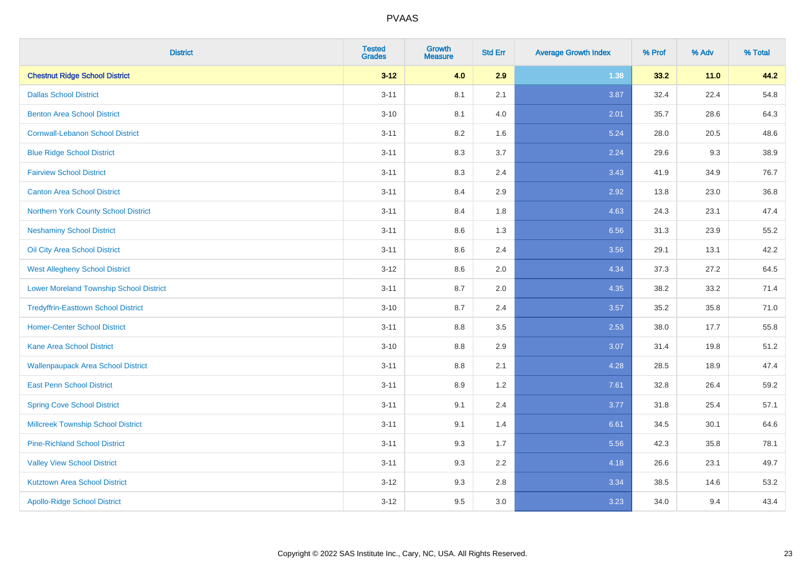| <b>District</b>                                | <b>Tested</b><br><b>Grades</b> | <b>Growth</b><br><b>Measure</b> | <b>Std Err</b> | <b>Average Growth Index</b> | % Prof | % Adv  | % Total |
|------------------------------------------------|--------------------------------|---------------------------------|----------------|-----------------------------|--------|--------|---------|
| <b>Chestnut Ridge School District</b>          | $3 - 12$                       | 4.0                             | 2.9            | 1.38                        | 33.2   | $11.0$ | 44.2    |
| <b>Dallas School District</b>                  | $3 - 11$                       | 8.1                             | 2.1            | 3.87                        | 32.4   | 22.4   | 54.8    |
| <b>Benton Area School District</b>             | $3 - 10$                       | 8.1                             | 4.0            | 2.01                        | 35.7   | 28.6   | 64.3    |
| <b>Cornwall-Lebanon School District</b>        | $3 - 11$                       | 8.2                             | 1.6            | 5.24                        | 28.0   | 20.5   | 48.6    |
| <b>Blue Ridge School District</b>              | $3 - 11$                       | 8.3                             | 3.7            | 2.24                        | 29.6   | 9.3    | 38.9    |
| <b>Fairview School District</b>                | $3 - 11$                       | 8.3                             | 2.4            | 3.43                        | 41.9   | 34.9   | 76.7    |
| <b>Canton Area School District</b>             | $3 - 11$                       | 8.4                             | 2.9            | 2.92                        | 13.8   | 23.0   | 36.8    |
| Northern York County School District           | $3 - 11$                       | 8.4                             | 1.8            | 4.63                        | 24.3   | 23.1   | 47.4    |
| <b>Neshaminy School District</b>               | $3 - 11$                       | 8.6                             | 1.3            | 6.56                        | 31.3   | 23.9   | 55.2    |
| Oil City Area School District                  | $3 - 11$                       | 8.6                             | 2.4            | 3.56                        | 29.1   | 13.1   | 42.2    |
| <b>West Allegheny School District</b>          | $3 - 12$                       | 8.6                             | 2.0            | 4.34                        | 37.3   | 27.2   | 64.5    |
| <b>Lower Moreland Township School District</b> | $3 - 11$                       | 8.7                             | 2.0            | 4.35                        | 38.2   | 33.2   | 71.4    |
| <b>Tredyffrin-Easttown School District</b>     | $3 - 10$                       | 8.7                             | 2.4            | 3.57                        | 35.2   | 35.8   | 71.0    |
| <b>Homer-Center School District</b>            | $3 - 11$                       | 8.8                             | 3.5            | 2.53                        | 38.0   | 17.7   | 55.8    |
| Kane Area School District                      | $3 - 10$                       | 8.8                             | 2.9            | 3.07                        | 31.4   | 19.8   | 51.2    |
| <b>Wallenpaupack Area School District</b>      | $3 - 11$                       | 8.8                             | 2.1            | 4.28                        | 28.5   | 18.9   | 47.4    |
| <b>East Penn School District</b>               | $3 - 11$                       | 8.9                             | 1.2            | 7.61                        | 32.8   | 26.4   | 59.2    |
| <b>Spring Cove School District</b>             | $3 - 11$                       | 9.1                             | 2.4            | 3.77                        | 31.8   | 25.4   | 57.1    |
| <b>Millcreek Township School District</b>      | $3 - 11$                       | 9.1                             | 1.4            | 6.61                        | 34.5   | 30.1   | 64.6    |
| <b>Pine-Richland School District</b>           | $3 - 11$                       | 9.3                             | 1.7            | 5.56                        | 42.3   | 35.8   | 78.1    |
| <b>Valley View School District</b>             | $3 - 11$                       | 9.3                             | 2.2            | 4.18                        | 26.6   | 23.1   | 49.7    |
| <b>Kutztown Area School District</b>           | $3 - 12$                       | 9.3                             | 2.8            | 3.34                        | 38.5   | 14.6   | 53.2    |
| <b>Apollo-Ridge School District</b>            | $3-12$                         | 9.5                             | 3.0            | 3.23                        | 34.0   | 9.4    | 43.4    |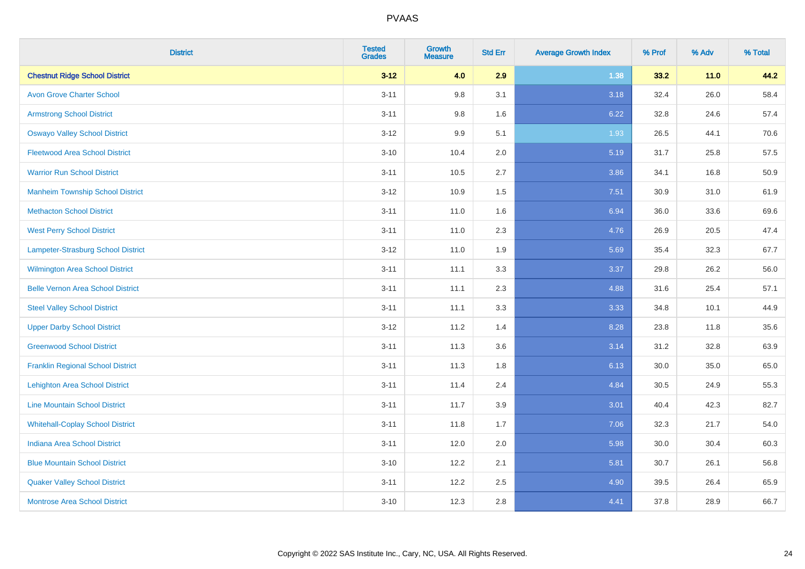| <b>District</b>                          | <b>Tested</b><br><b>Grades</b> | <b>Growth</b><br><b>Measure</b> | <b>Std Err</b> | <b>Average Growth Index</b> | % Prof | % Adv  | % Total |
|------------------------------------------|--------------------------------|---------------------------------|----------------|-----------------------------|--------|--------|---------|
| <b>Chestnut Ridge School District</b>    | $3 - 12$                       | 4.0                             | 2.9            | 1.38                        | 33.2   | $11.0$ | 44.2    |
| <b>Avon Grove Charter School</b>         | $3 - 11$                       | 9.8                             | 3.1            | 3.18                        | 32.4   | 26.0   | 58.4    |
| <b>Armstrong School District</b>         | $3 - 11$                       | 9.8                             | 1.6            | 6.22                        | 32.8   | 24.6   | 57.4    |
| <b>Oswayo Valley School District</b>     | $3 - 12$                       | 9.9                             | 5.1            | 1.93                        | 26.5   | 44.1   | 70.6    |
| <b>Fleetwood Area School District</b>    | $3 - 10$                       | 10.4                            | 2.0            | 5.19                        | 31.7   | 25.8   | 57.5    |
| <b>Warrior Run School District</b>       | $3 - 11$                       | 10.5                            | 2.7            | 3.86                        | 34.1   | 16.8   | 50.9    |
| <b>Manheim Township School District</b>  | $3-12$                         | 10.9                            | 1.5            | 7.51                        | 30.9   | 31.0   | 61.9    |
| <b>Methacton School District</b>         | $3 - 11$                       | 11.0                            | 1.6            | 6.94                        | 36.0   | 33.6   | 69.6    |
| <b>West Perry School District</b>        | $3 - 11$                       | 11.0                            | 2.3            | 4.76                        | 26.9   | 20.5   | 47.4    |
| Lampeter-Strasburg School District       | $3 - 12$                       | 11.0                            | 1.9            | 5.69                        | 35.4   | 32.3   | 67.7    |
| <b>Wilmington Area School District</b>   | $3 - 11$                       | 11.1                            | 3.3            | 3.37                        | 29.8   | 26.2   | 56.0    |
| <b>Belle Vernon Area School District</b> | $3 - 11$                       | 11.1                            | 2.3            | 4.88                        | 31.6   | 25.4   | 57.1    |
| <b>Steel Valley School District</b>      | $3 - 11$                       | 11.1                            | 3.3            | 3.33                        | 34.8   | 10.1   | 44.9    |
| <b>Upper Darby School District</b>       | $3 - 12$                       | 11.2                            | 1.4            | 8.28                        | 23.8   | 11.8   | 35.6    |
| <b>Greenwood School District</b>         | $3 - 11$                       | 11.3                            | 3.6            | 3.14                        | 31.2   | 32.8   | 63.9    |
| <b>Franklin Regional School District</b> | $3 - 11$                       | 11.3                            | 1.8            | 6.13                        | 30.0   | 35.0   | 65.0    |
| <b>Lehighton Area School District</b>    | $3 - 11$                       | 11.4                            | 2.4            | 4.84                        | 30.5   | 24.9   | 55.3    |
| <b>Line Mountain School District</b>     | $3 - 11$                       | 11.7                            | 3.9            | 3.01                        | 40.4   | 42.3   | 82.7    |
| <b>Whitehall-Coplay School District</b>  | $3 - 11$                       | 11.8                            | 1.7            | 7.06                        | 32.3   | 21.7   | 54.0    |
| <b>Indiana Area School District</b>      | $3 - 11$                       | 12.0                            | 2.0            | 5.98                        | 30.0   | 30.4   | 60.3    |
| <b>Blue Mountain School District</b>     | $3 - 10$                       | 12.2                            | 2.1            | 5.81                        | 30.7   | 26.1   | 56.8    |
| <b>Quaker Valley School District</b>     | $3 - 11$                       | 12.2                            | 2.5            | 4.90                        | 39.5   | 26.4   | 65.9    |
| <b>Montrose Area School District</b>     | $3 - 10$                       | 12.3                            | 2.8            | 4.41                        | 37.8   | 28.9   | 66.7    |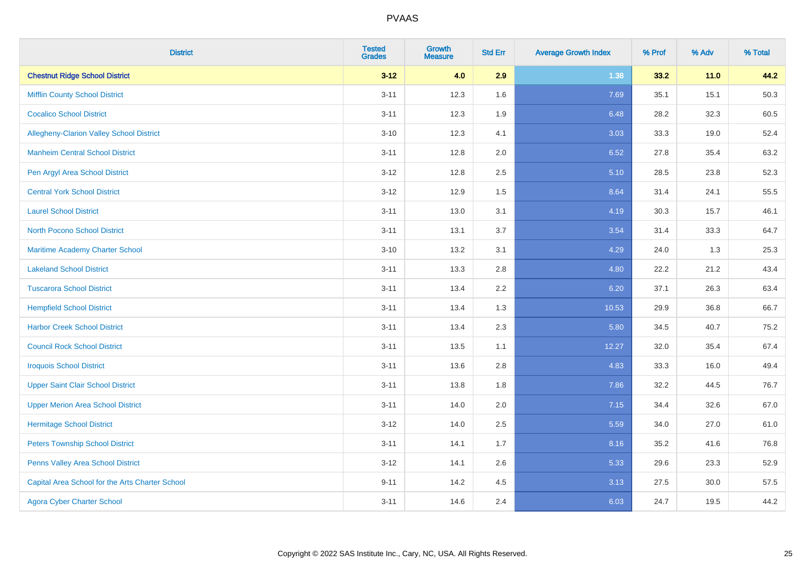| <b>District</b>                                 | <b>Tested</b><br><b>Grades</b> | <b>Growth</b><br><b>Measure</b> | <b>Std Err</b> | <b>Average Growth Index</b> | % Prof | % Adv  | % Total |
|-------------------------------------------------|--------------------------------|---------------------------------|----------------|-----------------------------|--------|--------|---------|
| <b>Chestnut Ridge School District</b>           | $3 - 12$                       | 4.0                             | 2.9            | 1.38                        | 33.2   | $11.0$ | 44.2    |
| <b>Mifflin County School District</b>           | $3 - 11$                       | 12.3                            | 1.6            | 7.69                        | 35.1   | 15.1   | 50.3    |
| <b>Cocalico School District</b>                 | $3 - 11$                       | 12.3                            | 1.9            | 6.48                        | 28.2   | 32.3   | 60.5    |
| <b>Allegheny-Clarion Valley School District</b> | $3 - 10$                       | 12.3                            | 4.1            | 3.03                        | 33.3   | 19.0   | 52.4    |
| <b>Manheim Central School District</b>          | $3 - 11$                       | 12.8                            | 2.0            | 6.52                        | 27.8   | 35.4   | 63.2    |
| Pen Argyl Area School District                  | $3 - 12$                       | 12.8                            | 2.5            | 5.10                        | 28.5   | 23.8   | 52.3    |
| <b>Central York School District</b>             | $3 - 12$                       | 12.9                            | 1.5            | 8.64                        | 31.4   | 24.1   | 55.5    |
| <b>Laurel School District</b>                   | $3 - 11$                       | 13.0                            | 3.1            | 4.19                        | 30.3   | 15.7   | 46.1    |
| <b>North Pocono School District</b>             | $3 - 11$                       | 13.1                            | 3.7            | 3.54                        | 31.4   | 33.3   | 64.7    |
| Maritime Academy Charter School                 | $3 - 10$                       | 13.2                            | 3.1            | 4.29                        | 24.0   | 1.3    | 25.3    |
| <b>Lakeland School District</b>                 | $3 - 11$                       | 13.3                            | 2.8            | 4.80                        | 22.2   | 21.2   | 43.4    |
| <b>Tuscarora School District</b>                | $3 - 11$                       | 13.4                            | 2.2            | 6.20                        | 37.1   | 26.3   | 63.4    |
| <b>Hempfield School District</b>                | $3 - 11$                       | 13.4                            | 1.3            | 10.53                       | 29.9   | 36.8   | 66.7    |
| <b>Harbor Creek School District</b>             | $3 - 11$                       | 13.4                            | 2.3            | 5.80                        | 34.5   | 40.7   | 75.2    |
| <b>Council Rock School District</b>             | $3 - 11$                       | 13.5                            | 1.1            | 12.27                       | 32.0   | 35.4   | 67.4    |
| <b>Iroquois School District</b>                 | $3 - 11$                       | 13.6                            | 2.8            | 4.83                        | 33.3   | 16.0   | 49.4    |
| <b>Upper Saint Clair School District</b>        | $3 - 11$                       | 13.8                            | 1.8            | 7.86                        | 32.2   | 44.5   | 76.7    |
| <b>Upper Merion Area School District</b>        | $3 - 11$                       | 14.0                            | 2.0            | 7.15                        | 34.4   | 32.6   | 67.0    |
| <b>Hermitage School District</b>                | $3 - 12$                       | 14.0                            | 2.5            | 5.59                        | 34.0   | 27.0   | 61.0    |
| <b>Peters Township School District</b>          | $3 - 11$                       | 14.1                            | 1.7            | 8.16                        | 35.2   | 41.6   | 76.8    |
| Penns Valley Area School District               | $3 - 12$                       | 14.1                            | 2.6            | 5.33                        | 29.6   | 23.3   | 52.9    |
| Capital Area School for the Arts Charter School | $9 - 11$                       | 14.2                            | 4.5            | 3.13                        | 27.5   | 30.0   | 57.5    |
| <b>Agora Cyber Charter School</b>               | $3 - 11$                       | 14.6                            | 2.4            | 6.03                        | 24.7   | 19.5   | 44.2    |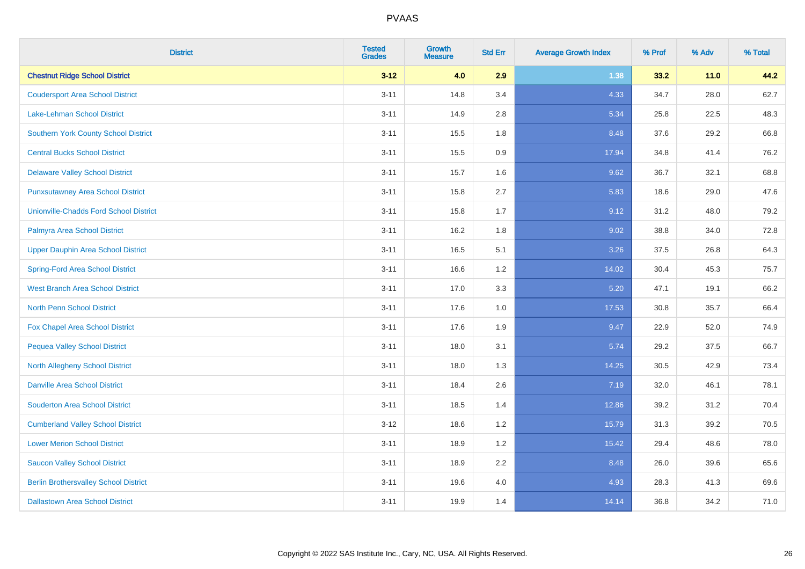| <b>District</b>                               | <b>Tested</b><br><b>Grades</b> | <b>Growth</b><br><b>Measure</b> | <b>Std Err</b> | <b>Average Growth Index</b> | % Prof | % Adv  | % Total |
|-----------------------------------------------|--------------------------------|---------------------------------|----------------|-----------------------------|--------|--------|---------|
| <b>Chestnut Ridge School District</b>         | $3 - 12$                       | 4.0                             | 2.9            | 1.38                        | 33.2   | $11.0$ | 44.2    |
| <b>Coudersport Area School District</b>       | $3 - 11$                       | 14.8                            | 3.4            | 4.33                        | 34.7   | 28.0   | 62.7    |
| <b>Lake-Lehman School District</b>            | $3 - 11$                       | 14.9                            | 2.8            | 5.34                        | 25.8   | 22.5   | 48.3    |
| <b>Southern York County School District</b>   | $3 - 11$                       | 15.5                            | 1.8            | 8.48                        | 37.6   | 29.2   | 66.8    |
| <b>Central Bucks School District</b>          | $3 - 11$                       | 15.5                            | 0.9            | 17.94                       | 34.8   | 41.4   | 76.2    |
| <b>Delaware Valley School District</b>        | $3 - 11$                       | 15.7                            | 1.6            | 9.62                        | 36.7   | 32.1   | 68.8    |
| <b>Punxsutawney Area School District</b>      | $3 - 11$                       | 15.8                            | 2.7            | 5.83                        | 18.6   | 29.0   | 47.6    |
| <b>Unionville-Chadds Ford School District</b> | $3 - 11$                       | 15.8                            | 1.7            | 9.12                        | 31.2   | 48.0   | 79.2    |
| Palmyra Area School District                  | $3 - 11$                       | 16.2                            | 1.8            | 9.02                        | 38.8   | 34.0   | 72.8    |
| <b>Upper Dauphin Area School District</b>     | $3 - 11$                       | 16.5                            | 5.1            | 3.26                        | 37.5   | 26.8   | 64.3    |
| <b>Spring-Ford Area School District</b>       | $3 - 11$                       | 16.6                            | 1.2            | 14.02                       | 30.4   | 45.3   | 75.7    |
| <b>West Branch Area School District</b>       | $3 - 11$                       | 17.0                            | 3.3            | 5.20                        | 47.1   | 19.1   | 66.2    |
| North Penn School District                    | $3 - 11$                       | 17.6                            | 1.0            | 17.53                       | 30.8   | 35.7   | 66.4    |
| <b>Fox Chapel Area School District</b>        | $3 - 11$                       | 17.6                            | 1.9            | 9.47                        | 22.9   | 52.0   | 74.9    |
| <b>Pequea Valley School District</b>          | $3 - 11$                       | 18.0                            | 3.1            | 5.74                        | 29.2   | 37.5   | 66.7    |
| North Allegheny School District               | $3 - 11$                       | 18.0                            | 1.3            | 14.25                       | 30.5   | 42.9   | 73.4    |
| <b>Danville Area School District</b>          | $3 - 11$                       | 18.4                            | 2.6            | 7.19                        | 32.0   | 46.1   | 78.1    |
| <b>Souderton Area School District</b>         | $3 - 11$                       | 18.5                            | 1.4            | 12.86                       | 39.2   | 31.2   | 70.4    |
| <b>Cumberland Valley School District</b>      | $3 - 12$                       | 18.6                            | 1.2            | 15.79                       | 31.3   | 39.2   | 70.5    |
| <b>Lower Merion School District</b>           | $3 - 11$                       | 18.9                            | 1.2            | 15.42                       | 29.4   | 48.6   | 78.0    |
| <b>Saucon Valley School District</b>          | $3 - 11$                       | 18.9                            | 2.2            | 8.48                        | 26.0   | 39.6   | 65.6    |
| <b>Berlin Brothersvalley School District</b>  | $3 - 11$                       | 19.6                            | 4.0            | 4.93                        | 28.3   | 41.3   | 69.6    |
| <b>Dallastown Area School District</b>        | $3 - 11$                       | 19.9                            | 1.4            | 14.14                       | 36.8   | 34.2   | 71.0    |